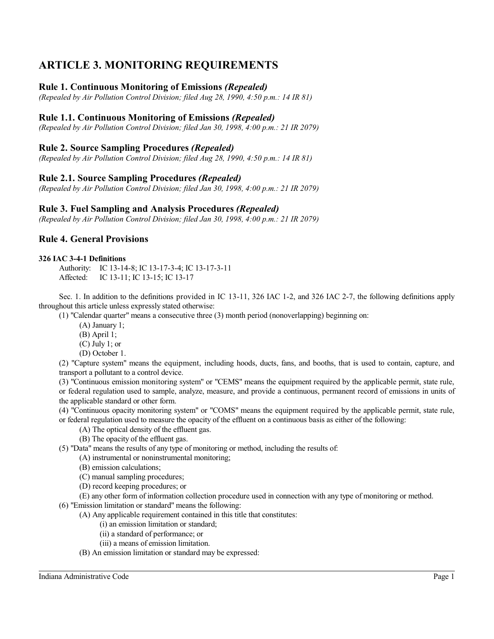# **ARTICLE 3. MONITORING REQUIREMENTS**

# **Rule 1. Continuous Monitoring of Emissions** *(Repealed)*

*(Repealed by Air Pollution Control Division; filed Aug 28, 1990, 4:50 p.m.: 14 IR 81)*

# **Rule 1.1. Continuous Monitoring of Emissions** *(Repealed)*

*(Repealed by Air Pollution Control Division; filed Jan 30, 1998, 4:00 p.m.: 21 IR 2079)*

# **Rule 2. Source Sampling Procedures** *(Repealed)*

*(Repealed by Air Pollution Control Division; filed Aug 28, 1990, 4:50 p.m.: 14 IR 81)*

# **Rule 2.1. Source Sampling Procedures** *(Repealed)*

*(Repealed by Air Pollution Control Division; filed Jan 30, 1998, 4:00 p.m.: 21 IR 2079)*

# **Rule 3. Fuel Sampling and Analysis Procedures** *(Repealed)*

*(Repealed by Air Pollution Control Division; filed Jan 30, 1998, 4:00 p.m.: 21 IR 2079)*

# **Rule 4. General Provisions**

#### **326 IAC 3-4-1 Definitions**

Authority: IC 13-14-8; IC 13-17-3-4; IC 13-17-3-11 Affected: IC 13-11; IC 13-15; IC 13-17

Sec. 1. In addition to the definitions provided in IC 13-11, 326 IAC 1-2, and 326 IAC 2-7, the following definitions apply throughout this article unless expressly stated otherwise:

(1) "Calendar quarter" means a consecutive three (3) month period (nonoverlapping) beginning on:

- (A) January 1;
- (B) April 1;
- (C) July 1; or
- (D) October 1.

(2) "Capture system" means the equipment, including hoods, ducts, fans, and booths, that is used to contain, capture, and transport a pollutant to a control device.

(3) "Continuous emission monitoring system" or "CEMS" means the equipment required by the applicable permit, state rule, or federal regulation used to sample, analyze, measure, and provide a continuous, permanent record of emissions in units of the applicable standard or other form.

(4) "Continuous opacity monitoring system" or "COMS" means the equipment required by the applicable permit, state rule, or federal regulation used to measure the opacity of the effluent on a continuous basis as either of the following:

- (A) The optical density of the effluent gas.
- (B) The opacity of the effluent gas.

(5) "Data" means the results of any type of monitoring or method, including the results of:

(A) instrumental or noninstrumental monitoring;

- (B) emission calculations;
- (C) manual sampling procedures;
- (D) record keeping procedures; or

(E) any other form of information collection procedure used in connection with any type of monitoring or method. (6) "Emission limitation or standard" means the following:

(A) Any applicable requirement contained in this title that constitutes:

(i) an emission limitation or standard;

- (ii) a standard of performance; or
- (iii) a means of emission limitation.
- (B) An emission limitation or standard may be expressed:

Indiana Administrative Code Page 1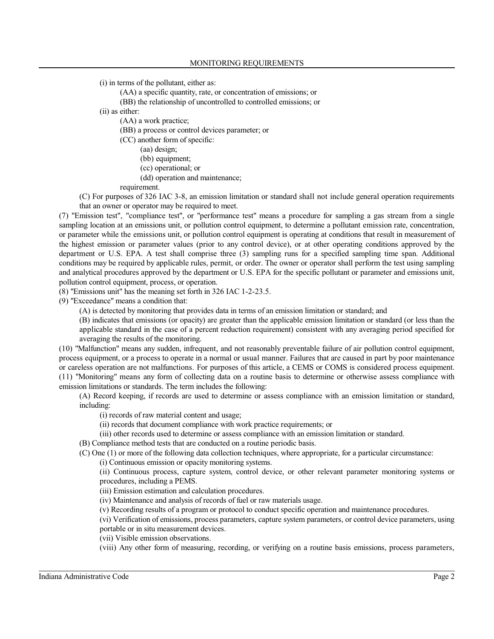(i) in terms of the pollutant, either as:

(AA) a specific quantity, rate, or concentration of emissions; or

(BB) the relationship of uncontrolled to controlled emissions; or

(ii) as either:

(AA) a work practice;

(BB) a process or control devices parameter; or

(CC) another form of specific:

- (aa) design;
- (bb) equipment;
- (cc) operational; or
- (dd) operation and maintenance;

requirement.

(C) For purposes of 326 IAC 3-8, an emission limitation or standard shall not include general operation requirements that an owner or operator may be required to meet.

(7) "Emission test", "compliance test", or "performance test" means a procedure for sampling a gas stream from a single sampling location at an emissions unit, or pollution control equipment, to determine a pollutant emission rate, concentration, or parameter while the emissions unit, or pollution control equipment is operating at conditions that result in measurement of the highest emission or parameter values (prior to any control device), or at other operating conditions approved by the department or U.S. EPA. A test shall comprise three (3) sampling runs for a specified sampling time span. Additional conditions may be required by applicable rules, permit, or order. The owner or operator shall perform the test using sampling and analytical procedures approved by the department or U.S. EPA for the specific pollutant or parameter and emissions unit, pollution control equipment, process, or operation.

(8) "Emissions unit" has the meaning set forth in 326 IAC 1-2-23.5.

(9) "Exceedance" means a condition that:

(A) is detected by monitoring that provides data in terms of an emission limitation or standard; and

- (B) indicates that emissions (or opacity) are greater than the applicable emission limitation or standard (or less than the
- applicable standard in the case of a percent reduction requirement) consistent with any averaging period specified for averaging the results of the monitoring.

(10) "Malfunction" means any sudden, infrequent, and not reasonably preventable failure of air pollution control equipment, process equipment, or a process to operate in a normal or usual manner. Failures that are caused in part by poor maintenance or careless operation are not malfunctions. For purposes of this article, a CEMS or COMS is considered process equipment. (11) "Monitoring" means any form of collecting data on a routine basis to determine or otherwise assess compliance with emission limitations or standards. The term includes the following:

(A) Record keeping, if records are used to determine or assess compliance with an emission limitation or standard, including:

(i) records of raw material content and usage;

(ii) records that document compliance with work practice requirements; or

(iii) other records used to determine or assess compliance with an emission limitation or standard.

(B) Compliance method tests that are conducted on a routine periodic basis.

(C) One (1) or more of the following data collection techniques, where appropriate, for a particular circumstance:

(i) Continuous emission or opacity monitoring systems.

(ii) Continuous process, capture system, control device, or other relevant parameter monitoring systems or procedures, including a PEMS.

(iii) Emission estimation and calculation procedures.

(iv) Maintenance and analysis of records of fuel or raw materials usage.

(v) Recording results of a program or protocol to conduct specific operation and maintenance procedures.

(vi) Verification of emissions, process parameters, capture system parameters, or control device parameters, using portable or in situ measurement devices.

(vii) Visible emission observations.

(viii) Any other form of measuring, recording, or verifying on a routine basis emissions, process parameters,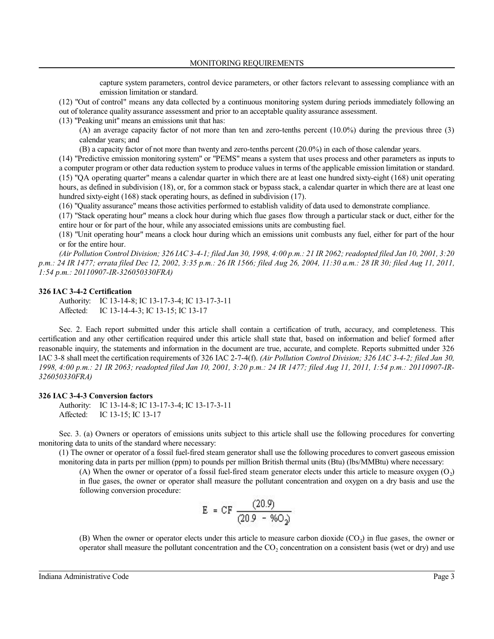capture system parameters, control device parameters, or other factors relevant to assessing compliance with an emission limitation or standard.

(12) "Out of control" means any data collected by a continuous monitoring system during periods immediately following an out of tolerance quality assurance assessment and prior to an acceptable quality assurance assessment.

(13) "Peaking unit" means an emissions unit that has:

(A) an average capacity factor of not more than ten and zero-tenths percent (10.0%) during the previous three (3) calendar years; and

(B) a capacity factor of not more than twenty and zero-tenths percent (20.0%) in each of those calendar years.

(14) "Predictive emission monitoring system" or "PEMS" means a system that uses process and other parameters as inputs to a computer program or other data reduction system to produce values in terms of the applicable emission limitation or standard. (15) "QA operating quarter" means a calendar quarter in which there are at least one hundred sixty-eight (168) unit operating hours, as defined in subdivision (18), or, for a common stack or bypass stack, a calendar quarter in which there are at least one hundred sixty-eight (168) stack operating hours, as defined in subdivision (17).

(16) "Quality assurance" means those activities performed to establish validity of data used to demonstrate compliance.

(17) "Stack operating hour" means a clock hour during which flue gases flow through a particular stack or duct, either for the entire hour or for part of the hour, while any associated emissions units are combusting fuel.

(18) "Unit operating hour" means a clock hour during which an emissions unit combusts any fuel, either for part of the hour or for the entire hour.

*(Air Pollution Control Division; 326 IAC3-4-1; filed Jan 30, 1998, 4:00 p.m.: 21 IR 2062; readopted filed Jan 10, 2001, 3:20 p.m.: 24 IR 1477; errata filed Dec 12, 2002, 3:35 p.m.: 26 IR 1566; filed Aug 26, 2004, 11:30 a.m.: 28 IR 30; filed Aug 11, 2011, 1:54 p.m.: 20110907-IR-326050330FRA)*

#### **326 IAC 3-4-2 Certification**

Authority: IC 13-14-8; IC 13-17-3-4; IC 13-17-3-11 Affected: IC 13-14-4-3; IC 13-15; IC 13-17

Sec. 2. Each report submitted under this article shall contain a certification of truth, accuracy, and completeness. This certification and any other certification required under this article shall state that, based on information and belief formed after reasonable inquiry, the statements and information in the document are true, accurate, and complete. Reports submitted under 326 IAC 3-8 shall meet the certification requirements of 326 IAC 2-7-4(f). *(Air Pollution Control Division; 326 IAC 3-4-2; filed Jan 30, 1998, 4:00 p.m.: 21 IR 2063; readopted filed Jan 10, 2001, 3:20 p.m.: 24 IR 1477; filed Aug 11, 2011, 1:54 p.m.: 20110907-IR-326050330FRA)*

### **326 IAC 3-4-3 Conversion factors**

Authority: IC 13-14-8; IC 13-17-3-4; IC 13-17-3-11 Affected: IC 13-15; IC 13-17

Sec. 3. (a) Owners or operators of emissions units subject to this article shall use the following procedures for converting monitoring data to units of the standard where necessary:

(1) The owner or operator of a fossil fuel-fired steam generator shall use the following procedures to convert gaseous emission monitoring data in parts per million (ppm) to pounds per million British thermal units (Btu) (lbs/MMBtu) where necessary:

(A) When the owner or operator of a fossil fuel-fired steam generator elects under this article to measure oxygen  $(O_2)$ in flue gases, the owner or operator shall measure the pollutant concentration and oxygen on a dry basis and use the following conversion procedure:

$$
E = CF \frac{(20.9)}{(20.9 - %0)2}
$$

(B) When the owner or operator elects under this article to measure carbon dioxide  $(CO_2)$  in flue gases, the owner or operator shall measure the pollutant concentration and the  $CO_2$  concentration on a consistent basis (wet or dry) and use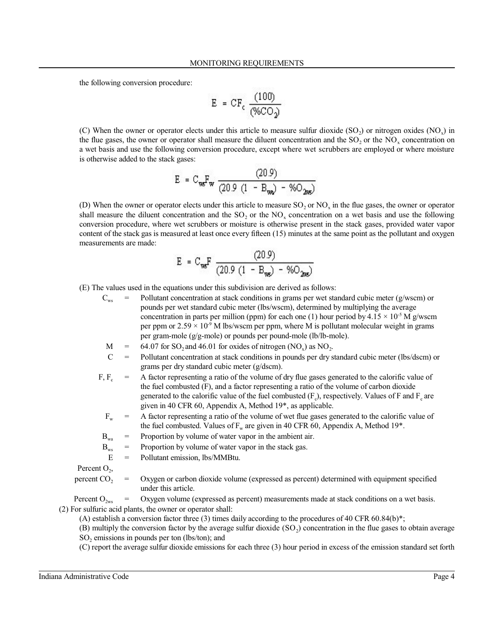the following conversion procedure:

$$
E = CF_c \frac{(100)}{(\%CO_2)}
$$

(C) When the owner or operator elects under this article to measure sulfur dioxide  $(SO_2)$  or nitrogen oxides  $(NO_x)$  in the flue gases, the owner or operator shall measure the diluent concentration and the  $SO_2$  or the  $NO_x$  concentration on a wet basis and use the following conversion procedure, except where wet scrubbers are employed or where moisture is otherwise added to the stack gases:

$$
E = C_{\text{w}}F_{\text{w}} \frac{(20.9)}{(20.9 \ (1 - B_{\text{w}}) - %O_{\text{w}})}
$$

(D) When the owner or operator elects under this article to measure  $SO_2$  or  $NO_x$  in the flue gases, the owner or operator shall measure the diluent concentration and the  $SO_2$  or the  $NO_x$  concentration on a wet basis and use the following conversion procedure, where wet scrubbers or moisture is otherwise present in the stack gases, provided water vapor content of the stack gas is measured at least once every fifteen (15) minutes at the same point as the pollutant and oxygen measurements are made:

$$
E = C_{\text{w}}F \frac{(20.9)}{(20.9(1 - B_{\text{w}}) - %0_{\text{2w}})}
$$

(E) The values used in the equations under this subdivision are derived as follows:

- $C_{\text{ws}}$  = Pollutant concentration at stack conditions in grams per wet standard cubic meter (g/wscm) or pounds per wet standard cubic meter (lbs/wscm), determined by multiplying the average concentration in parts per million (ppm) for each one (1) hour period by 4.15  $\times$  10<sup>-5</sup> M g/wscm per ppm or  $2.59 \times 10^{-9}$  M lbs/wscm per ppm, where M is pollutant molecular weight in grams per gram-mole (g/g-mole) or pounds per pound-mole (lb/lb-mole).
	- $M = 64.07$  for SO<sub>2</sub> and 46.01 for oxides of nitrogen (NO<sub>x</sub>) as NO<sub>2</sub>.
	- C = Pollutant concentration at stack conditions in pounds per dry standard cubic meter (lbs/dscm) or grams per dry standard cubic meter (g/dscm).
- $F, F_c$ = A factor representing a ratio of the volume of dry flue gases generated to the calorific value of the fuel combusted (F), and a factor representing a ratio of the volume of carbon dioxide generated to the calorific value of the fuel combusted  $(F_c)$ , respectively. Values of F and  $F_c$  are given in 40 CFR 60, Appendix A, Method 19\*, as applicable.
	- $F_w$  = A factor representing a ratio of the volume of wet flue gases generated to the calorific value of the fuel combusted. Values of  $F_w$  are given in 40 CFR 60, Appendix A, Method 19 $^*$ .
- $B_{\text{max}}$  = Proportion by volume of water vapor in the ambient air.
- $B_{ws}$  = Proportion by volume of water vapor in the stack gas.
- $E =$  Pollutant emission, lbs/MMBtu.

Percent  $O_2$ ,

percent  $CO<sub>2</sub>$ Oxygen or carbon dioxide volume (expressed as percent) determined with equipment specified under this article.

Percent  $O_{\gamma_{\text{ws}}}$  = Oxygen volume (expressed as percent) measurements made at stack conditions on a wet basis. (2) For sulfuric acid plants, the owner or operator shall:

(A) establish a conversion factor three (3) times daily according to the procedures of 40 CFR 60.84(b)\*;

(B) multiply the conversion factor by the average sulfur dioxide  $(SO_2)$  concentration in the flue gases to obtain average  $SO<sub>2</sub>$  emissions in pounds per ton (lbs/ton); and

(C) report the average sulfur dioxide emissions for each three (3) hour period in excess of the emission standard set forth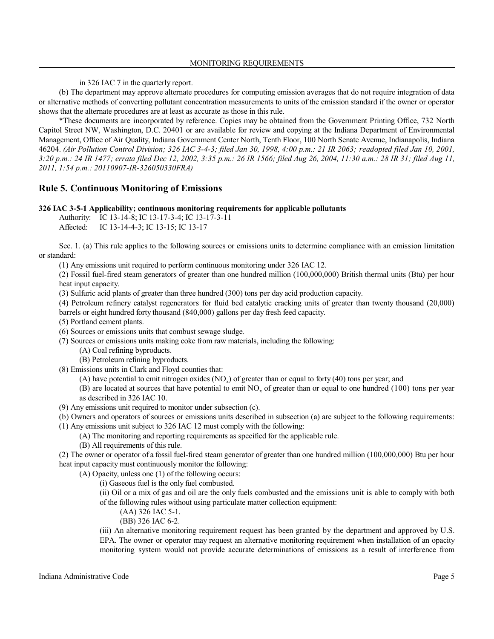in 326 IAC 7 in the quarterly report.

(b) The department may approve alternate procedures for computing emission averages that do not require integration of data or alternative methods of converting pollutant concentration measurements to units of the emission standard if the owner or operator shows that the alternate procedures are at least as accurate as those in this rule.

\*These documents are incorporated by reference. Copies may be obtained from the Government Printing Office, 732 North Capitol Street NW, Washington, D.C. 20401 or are available for review and copying at the Indiana Department of Environmental Management, Office of Air Quality, Indiana Government Center North, Tenth Floor, 100 North Senate Avenue, Indianapolis, Indiana 46204. *(Air Pollution Control Division; 326 IAC 3-4-3; filed Jan 30, 1998, 4:00 p.m.: 21 IR 2063; readopted filed Jan 10, 2001, 3:20 p.m.: 24 IR 1477; errata filed Dec 12, 2002, 3:35 p.m.: 26 IR 1566; filed Aug 26, 2004, 11:30 a.m.: 28 IR 31; filed Aug 11, 2011, 1:54 p.m.: 20110907-IR-326050330FRA)*

# **Rule 5. Continuous Monitoring of Emissions**

# **326 IAC 3-5-1 Applicability; continuous monitoring requirements for applicable pollutants**

Authority: IC 13-14-8; IC 13-17-3-4; IC 13-17-3-11

Affected: IC 13-14-4-3; IC 13-15; IC 13-17

Sec. 1. (a) This rule applies to the following sources or emissions units to determine compliance with an emission limitation or standard:

(1) Any emissions unit required to perform continuous monitoring under 326 IAC 12.

(2) Fossil fuel-fired steam generators of greater than one hundred million (100,000,000) British thermal units (Btu) per hour heat input capacity.

(3) Sulfuric acid plants of greater than three hundred (300) tons per day acid production capacity.

(4) Petroleum refinery catalyst regenerators for fluid bed catalytic cracking units of greater than twenty thousand (20,000) barrels or eight hundred forty thousand (840,000) gallons per day fresh feed capacity.

(5) Portland cement plants.

(6) Sources or emissions units that combust sewage sludge.

(7) Sources or emissions units making coke from raw materials, including the following:

(A) Coal refining byproducts.

(B) Petroleum refining byproducts.

(8) Emissions units in Clark and Floyd counties that:

(A) have potential to emit nitrogen oxides  $(NO_x)$  of greater than or equal to forty (40) tons per year; and

(B) are located at sources that have potential to emit  $NO_x$  of greater than or equal to one hundred (100) tons per year as described in 326 IAC 10.

(9) Any emissions unit required to monitor under subsection (c).

(b) Owners and operators of sources or emissions units described in subsection (a) are subject to the following requirements:

(1) Any emissions unit subject to 326 IAC 12 must comply with the following:

(A) The monitoring and reporting requirements as specified for the applicable rule.

(B) All requirements of this rule.

(2) The owner or operator of a fossil fuel-fired steam generator of greater than one hundred million (100,000,000) Btu per hour heat input capacity must continuously monitor the following:

(A) Opacity, unless one (1) of the following occurs:

(i) Gaseous fuel is the only fuel combusted.

(ii) Oil or a mix of gas and oil are the only fuels combusted and the emissions unit is able to comply with both of the following rules without using particulate matter collection equipment:

(AA) 326 IAC 5-1.

(BB) 326 IAC 6-2.

(iii) An alternative monitoring requirement request has been granted by the department and approved by U.S. EPA. The owner or operator may request an alternative monitoring requirement when installation of an opacity monitoring system would not provide accurate determinations of emissions as a result of interference from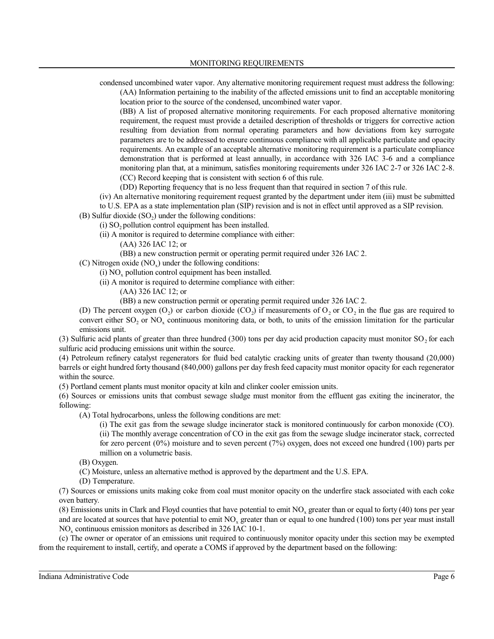condensed uncombined water vapor. Any alternative monitoring requirement request must address the following: (AA) Information pertaining to the inability of the affected emissions unit to find an acceptable monitoring location prior to the source of the condensed, uncombined water vapor.

(BB) A list of proposed alternative monitoring requirements. For each proposed alternative monitoring requirement, the request must provide a detailed description of thresholds or triggers for corrective action resulting from deviation from normal operating parameters and how deviations from key surrogate parameters are to be addressed to ensure continuous compliance with all applicable particulate and opacity requirements. An example of an acceptable alternative monitoring requirement is a particulate compliance demonstration that is performed at least annually, in accordance with 326 IAC 3-6 and a compliance monitoring plan that, at a minimum, satisfies monitoring requirements under 326 IAC 2-7 or 326 IAC 2-8. (CC) Record keeping that is consistent with section 6 of this rule.

(DD) Reporting frequency that is no less frequent than that required in section 7 of this rule.

(iv) An alternative monitoring requirement request granted by the department under item (iii) must be submitted to U.S. EPA as a state implementation plan (SIP) revision and is not in effect until approved as a SIP revision.

(B) Sulfur dioxide  $(SO_2)$  under the following conditions:

(i)  $SO_2$  pollution control equipment has been installed.

(ii) A monitor is required to determine compliance with either:

(AA) 326 IAC 12; or

- (BB) a new construction permit or operating permit required under 326 IAC 2.
- (C) Nitrogen oxide  $(NO_x)$  under the following conditions:
	- $(i) NO<sub>x</sub>$  pollution control equipment has been installed.
	- (ii) A monitor is required to determine compliance with either:
		- (AA) 326 IAC 12; or

(BB) a new construction permit or operating permit required under 326 IAC 2.

(D) The percent oxygen (O<sub>2</sub>) or carbon dioxide (CO<sub>2</sub>) if measurements of O<sub>2</sub> or CO<sub>2</sub> in the flue gas are required to convert either  $SO_2$  or  $NO_x$  continuous monitoring data, or both, to units of the emission limitation for the particular emissions unit.

(3) Sulfuric acid plants of greater than three hundred (300) tons per day acid production capacity must monitor  $SO_2$  for each sulfuric acid producing emissions unit within the source.

(4) Petroleum refinery catalyst regenerators for fluid bed catalytic cracking units of greater than twenty thousand (20,000) barrels or eight hundred forty thousand (840,000) gallons per day fresh feed capacity must monitor opacity for each regenerator within the source.

(5) Portland cement plants must monitor opacity at kiln and clinker cooler emission units.

(6) Sources or emissions units that combust sewage sludge must monitor from the effluent gas exiting the incinerator, the following:

(A) Total hydrocarbons, unless the following conditions are met:

- (i) The exit gas from the sewage sludge incinerator stack is monitored continuously for carbon monoxide (CO).
- (ii) The monthly average concentration of CO in the exit gas from the sewage sludge incinerator stack, corrected for zero percent (0%) moisture and to seven percent (7%) oxygen, does not exceed one hundred (100) parts per million on a volumetric basis.
- (B) Oxygen.
- (C) Moisture, unless an alternative method is approved by the department and the U.S. EPA.
- (D) Temperature.

(7) Sources or emissions units making coke from coal must monitor opacity on the underfire stack associated with each coke oven battery.

(8) Emissions units in Clark and Floyd counties that have potential to emit  $NO_x$  greater than or equal to forty (40) tons per year and are located at sources that have potential to emit  $NO_x$  greater than or equal to one hundred (100) tons per year must install  $NO<sub>x</sub>$  continuous emission monitors as described in 326 IAC 10-1.

(c) The owner or operator of an emissions unit required to continuously monitor opacity under this section may be exempted from the requirement to install, certify, and operate a COMS if approved by the department based on the following: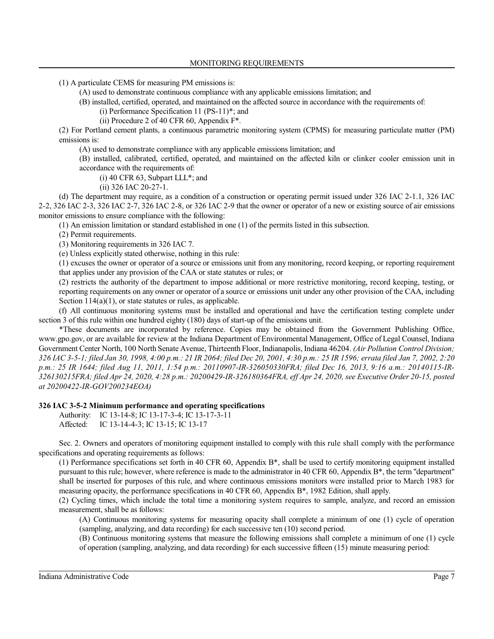(1) A particulate CEMS for measuring PM emissions is:

(A) used to demonstrate continuous compliance with any applicable emissions limitation; and

(B) installed, certified, operated, and maintained on the affected source in accordance with the requirements of:

- (i) Performance Specification 11 (PS-11)\*; and
- (ii) Procedure 2 of 40 CFR 60, Appendix F\*.

(2) For Portland cement plants, a continuous parametric monitoring system (CPMS) for measuring particulate matter (PM) emissions is:

(A) used to demonstrate compliance with any applicable emissions limitation; and

(B) installed, calibrated, certified, operated, and maintained on the affected kiln or clinker cooler emission unit in accordance with the requirements of:

(i) 40 CFR 63, Subpart LLL\*; and

(ii) 326 IAC 20-27-1.

(d) The department may require, as a condition of a construction or operating permit issued under 326 IAC 2-1.1, 326 IAC 2-2, 326 IAC 2-3, 326 IAC 2-7, 326 IAC 2-8, or 326 IAC 2-9 that the owner or operator of a new or existing source of air emissions monitor emissions to ensure compliance with the following:

(1) An emission limitation or standard established in one (1) of the permits listed in this subsection.

(2) Permit requirements.

(3) Monitoring requirements in 326 IAC 7.

(e) Unless explicitly stated otherwise, nothing in this rule:

(1) excuses the owner or operator of a source or emissions unit from any monitoring, record keeping, or reporting requirement that applies under any provision of the CAA or state statutes or rules; or

(2) restricts the authority of the department to impose additional or more restrictive monitoring, record keeping, testing, or reporting requirements on any owner or operator of a source or emissions unit under any other provision of the CAA, including Section  $114(a)(1)$ , or state statutes or rules, as applicable.

(f) All continuous monitoring systems must be installed and operational and have the certification testing complete under section 3 of this rule within one hundred eighty (180) days of start-up of the emissions unit.

\*These documents are incorporated by reference. Copies may be obtained from the Government Publishing Office, www.gpo.gov, or are available for review at the Indiana Department of Environmental Management, Office of Legal Counsel, Indiana Government Center North, 100 North Senate Avenue, Thirteenth Floor, Indianapolis, Indiana 46204. *(Air Pollution Control Division; 326 IAC 3-5-1; filed Jan 30, 1998, 4:00 p.m.: 21 IR 2064; filed Dec 20, 2001, 4:30 p.m.: 25 IR 1596; errata filed Jan 7, 2002, 2:20 p.m.: 25 IR 1644; filed Aug 11, 2011, 1:54 p.m.: 20110907-IR-326050330FRA; filed Dec 16, 2013, 9:16 a.m.: 20140115-IR-326130215FRA; filed Apr 24, 2020, 4:28 p.m.: 20200429-IR-326180364FRA, eff Apr 24, 2020, see Executive Order 20-15, posted at 20200422-IR-GOV200234EOA)*

### **326 IAC 3-5-2 Minimum performance and operating specifications**

Authority: IC 13-14-8; IC 13-17-3-4; IC 13-17-3-11 Affected: IC 13-14-4-3; IC 13-15; IC 13-17

Sec. 2. Owners and operators of monitoring equipment installed to comply with this rule shall comply with the performance specifications and operating requirements as follows:

(1) Performance specifications set forth in 40 CFR 60, Appendix B\*, shall be used to certify monitoring equipment installed pursuant to this rule; however, where reference is made to the administrator in 40 CFR 60, Appendix B\*, the term "department" shall be inserted for purposes of this rule, and where continuous emissions monitors were installed prior to March 1983 for measuring opacity, the performance specifications in 40 CFR 60, Appendix B\*, 1982 Edition, shall apply.

(2) Cycling times, which include the total time a monitoring system requires to sample, analyze, and record an emission measurement, shall be as follows:

(A) Continuous monitoring systems for measuring opacity shall complete a minimum of one (1) cycle of operation (sampling, analyzing, and data recording) for each successive ten (10) second period.

(B) Continuous monitoring systems that measure the following emissions shall complete a minimum of one (1) cycle of operation (sampling, analyzing, and data recording) for each successive fifteen (15) minute measuring period: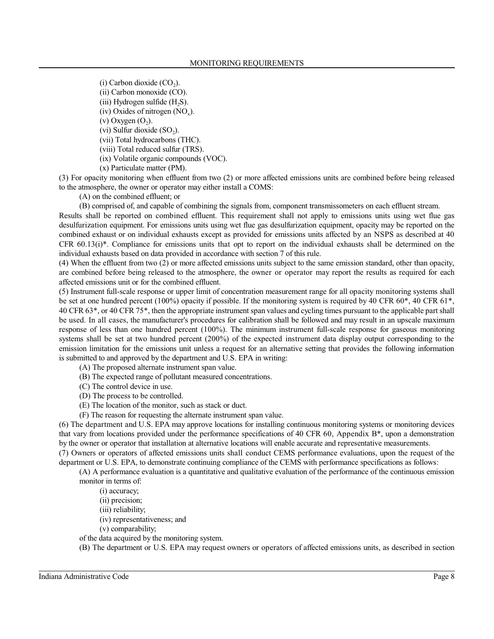(i) Carbon dioxide  $(CO_2)$ .

(ii) Carbon monoxide (CO).

(iii) Hydrogen sulfide  $(H_2S)$ .

 $(iv)$  Oxides of nitrogen  $(NO_x)$ .

 $(v)$  Oxygen  $(O_2)$ .

(vi) Sulfur dioxide  $(SO_2)$ .

(vii) Total hydrocarbons (THC).

(viii) Total reduced sulfur (TRS).

(ix) Volatile organic compounds (VOC).

(x) Particulate matter (PM).

(3) For opacity monitoring when effluent from two (2) or more affected emissions units are combined before being released to the atmosphere, the owner or operator may either install a COMS:

(A) on the combined effluent; or

(B) comprised of, and capable of combining the signals from, component transmissometers on each effluent stream.

Results shall be reported on combined effluent. This requirement shall not apply to emissions units using wet flue gas desulfurization equipment. For emissions units using wet flue gas desulfurization equipment, opacity may be reported on the combined exhaust or on individual exhausts except as provided for emissions units affected by an NSPS as described at 40 CFR  $60.13(i)*$ . Compliance for emissions units that opt to report on the individual exhausts shall be determined on the individual exhausts based on data provided in accordance with section 7 of this rule.

(4) When the effluent from two (2) or more affected emissions units subject to the same emission standard, other than opacity, are combined before being released to the atmosphere, the owner or operator may report the results as required for each affected emissions unit or for the combined effluent.

(5) Instrument full-scale response or upper limit of concentration measurement range for all opacity monitoring systems shall be set at one hundred percent (100%) opacity if possible. If the monitoring system is required by 40 CFR 60\*, 40 CFR 61\*, 40 CFR 63\*, or 40 CFR 75\*, then the appropriate instrument span values and cycling times pursuant to the applicable part shall be used. In all cases, the manufacturer's procedures for calibration shall be followed and may result in an upscale maximum response of less than one hundred percent (100%). The minimum instrument full-scale response for gaseous monitoring systems shall be set at two hundred percent (200%) of the expected instrument data display output corresponding to the emission limitation for the emissions unit unless a request for an alternative setting that provides the following information is submitted to and approved by the department and U.S. EPA in writing:

(A) The proposed alternate instrument span value.

- (B) The expected range of pollutant measured concentrations.
- (C) The control device in use.
- (D) The process to be controlled.
- (E) The location of the monitor, such as stack or duct.
- (F) The reason for requesting the alternate instrument span value.

(6) The department and U.S. EPA may approve locations for installing continuous monitoring systems or monitoring devices that vary from locations provided under the performance specifications of 40 CFR 60, Appendix B\*, upon a demonstration by the owner or operator that installation at alternative locations will enable accurate and representative measurements.

(7) Owners or operators of affected emissions units shall conduct CEMS performance evaluations, upon the request of the department or U.S. EPA, to demonstrate continuing compliance of the CEMS with performance specifications as follows:

(A) A performance evaluation is a quantitative and qualitative evaluation of the performance of the continuous emission monitor in terms of:

(i) accuracy;

- (ii) precision;
- (iii) reliability;
- (iv) representativeness; and

(v) comparability;

of the data acquired by the monitoring system.

(B) The department or U.S. EPA may request owners or operators of affected emissions units, as described in section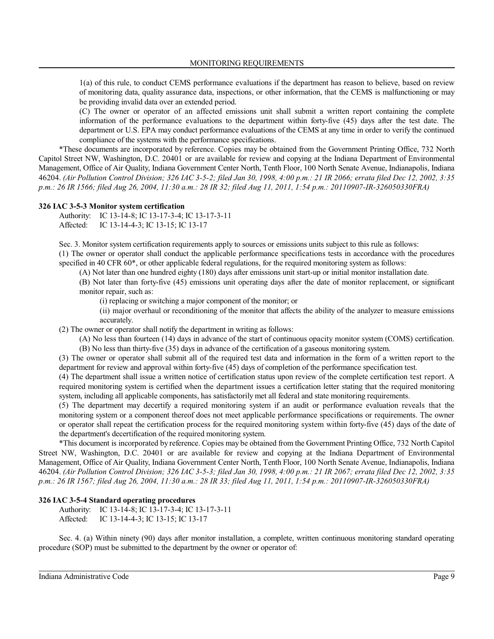1(a) of this rule, to conduct CEMS performance evaluations if the department has reason to believe, based on review of monitoring data, quality assurance data, inspections, or other information, that the CEMS is malfunctioning or may be providing invalid data over an extended period.

(C) The owner or operator of an affected emissions unit shall submit a written report containing the complete information of the performance evaluations to the department within forty-five (45) days after the test date. The department or U.S. EPA may conduct performance evaluations of the CEMS at any time in order to verify the continued compliance of the systems with the performance specifications.

\*These documents are incorporated by reference. Copies may be obtained from the Government Printing Office, 732 North Capitol Street NW, Washington, D.C. 20401 or are available for review and copying at the Indiana Department of Environmental Management, Office of Air Quality, Indiana Government Center North, Tenth Floor, 100 North Senate Avenue, Indianapolis, Indiana 46204. *(Air Pollution Control Division; 326 IAC 3-5-2; filed Jan 30, 1998, 4:00 p.m.: 21 IR 2066; errata filed Dec 12, 2002, 3:35 p.m.: 26 IR 1566; filed Aug 26, 2004, 11:30 a.m.: 28 IR 32; filed Aug 11, 2011, 1:54 p.m.: 20110907-IR-326050330FRA)*

#### **326 IAC 3-5-3 Monitor system certification**

Authority: IC 13-14-8; IC 13-17-3-4; IC 13-17-3-11 Affected: IC 13-14-4-3; IC 13-15; IC 13-17

Sec. 3. Monitor system certification requirements apply to sources or emissions units subject to this rule as follows: (1) The owner or operator shall conduct the applicable performance specifications tests in accordance with the procedures specified in 40 CFR 60<sup>\*</sup>, or other applicable federal regulations, for the required monitoring system as follows:

(A) Not later than one hundred eighty (180) days after emissions unit start-up or initial monitor installation date.

(B) Not later than forty-five (45) emissions unit operating days after the date of monitor replacement, or significant monitor repair, such as:

(i) replacing or switching a major component of the monitor; or

(ii) major overhaul or reconditioning of the monitor that affects the ability of the analyzer to measure emissions accurately.

(2) The owner or operator shall notify the department in writing as follows:

(A) No less than fourteen (14) days in advance of the start of continuous opacity monitor system (COMS) certification. (B) No less than thirty-five (35) days in advance of the certification of a gaseous monitoring system.

(3) The owner or operator shall submit all of the required test data and information in the form of a written report to the department for review and approval within forty-five (45) days of completion of the performance specification test.

(4) The department shall issue a written notice of certification status upon review of the complete certification test report. A required monitoring system is certified when the department issues a certification letter stating that the required monitoring system, including all applicable components, has satisfactorily met all federal and state monitoring requirements.

(5) The department may decertify a required monitoring system if an audit or performance evaluation reveals that the monitoring system or a component thereof does not meet applicable performance specifications or requirements. The owner or operator shall repeat the certification process for the required monitoring system within forty-five (45) days of the date of the department's decertification of the required monitoring system.

\*This document is incorporated by reference. Copies may be obtained from the Government Printing Office, 732 North Capitol Street NW, Washington, D.C. 20401 or are available for review and copying at the Indiana Department of Environmental Management, Office of Air Quality, Indiana Government Center North, Tenth Floor, 100 North Senate Avenue, Indianapolis, Indiana 46204. *(Air Pollution Control Division; 326 IAC 3-5-3; filed Jan 30, 1998, 4:00 p.m.: 21 IR 2067; errata filed Dec 12, 2002, 3:35 p.m.: 26 IR 1567; filed Aug 26, 2004, 11:30 a.m.: 28 IR 33; filed Aug 11, 2011, 1:54 p.m.: 20110907-IR-326050330FRA)*

#### **326 IAC 3-5-4 Standard operating procedures**

Authority: IC 13-14-8; IC 13-17-3-4; IC 13-17-3-11 Affected: IC 13-14-4-3; IC 13-15; IC 13-17

Sec. 4. (a) Within ninety (90) days after monitor installation, a complete, written continuous monitoring standard operating procedure (SOP) must be submitted to the department by the owner or operator of: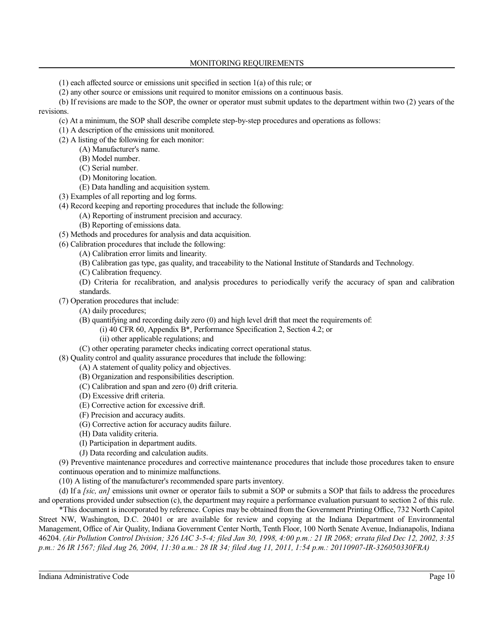# MONITORING REQUIREMENTS

(1) each affected source or emissions unit specified in section 1(a) of this rule; or

(2) any other source or emissions unit required to monitor emissions on a continuous basis.

(b) If revisions are made to the SOP, the owner or operator must submit updates to the department within two (2) years of the revisions.

- (c) At a minimum, the SOP shall describe complete step-by-step procedures and operations as follows:
- (1) A description of the emissions unit monitored.
- (2) A listing of the following for each monitor:
	- (A) Manufacturer's name.
	- (B) Model number.
	- (C) Serial number.
	- (D) Monitoring location.
	- (E) Data handling and acquisition system.
- (3) Examples of all reporting and log forms.
- (4) Record keeping and reporting procedures that include the following:
	- (A) Reporting of instrument precision and accuracy.
	- (B) Reporting of emissions data.
- (5) Methods and procedures for analysis and data acquisition.
- (6) Calibration procedures that include the following:
	- (A) Calibration error limits and linearity.
	- (B) Calibration gas type, gas quality, and traceability to the National Institute of Standards and Technology.
	- (C) Calibration frequency.
	- (D) Criteria for recalibration, and analysis procedures to periodically verify the accuracy of span and calibration standards.

(7) Operation procedures that include:

- (A) daily procedures;
- (B) quantifying and recording daily zero (0) and high level drift that meet the requirements of:
	- (i) 40 CFR 60, Appendix B\*, Performance Specification 2, Section 4.2; or
		- (ii) other applicable regulations; and
- (C) other operating parameter checks indicating correct operational status.
- (8) Quality control and quality assurance procedures that include the following:
	- (A) A statement of quality policy and objectives.
		- (B) Organization and responsibilities description.
		- (C) Calibration and span and zero (0) drift criteria.
		- (D) Excessive drift criteria.
		- (E) Corrective action for excessive drift.
		- (F) Precision and accuracy audits.
		- (G) Corrective action for accuracy audits failure.
		- (H) Data validity criteria.
		- (I) Participation in department audits.
		- (J) Data recording and calculation audits.

(9) Preventive maintenance procedures and corrective maintenance procedures that include those procedures taken to ensure continuous operation and to minimize malfunctions.

(10) A listing of the manufacturer's recommended spare parts inventory.

(d) If a *[sic, an]* emissions unit owner or operator fails to submit a SOP or submits a SOP that fails to address the procedures and operations provided under subsection (c), the department may require a performance evaluation pursuant to section 2 of this rule.

\*This document is incorporated by reference. Copies may be obtained from the Government Printing Office, 732 North Capitol Street NW, Washington, D.C. 20401 or are available for review and copying at the Indiana Department of Environmental Management, Office of Air Quality, Indiana Government Center North, Tenth Floor, 100 North Senate Avenue, Indianapolis, Indiana 46204. *(Air Pollution Control Division; 326 IAC 3-5-4; filed Jan 30, 1998, 4:00 p.m.: 21 IR 2068; errata filed Dec 12, 2002, 3:35 p.m.: 26 IR 1567; filed Aug 26, 2004, 11:30 a.m.: 28 IR 34; filed Aug 11, 2011, 1:54 p.m.: 20110907-IR-326050330FRA)*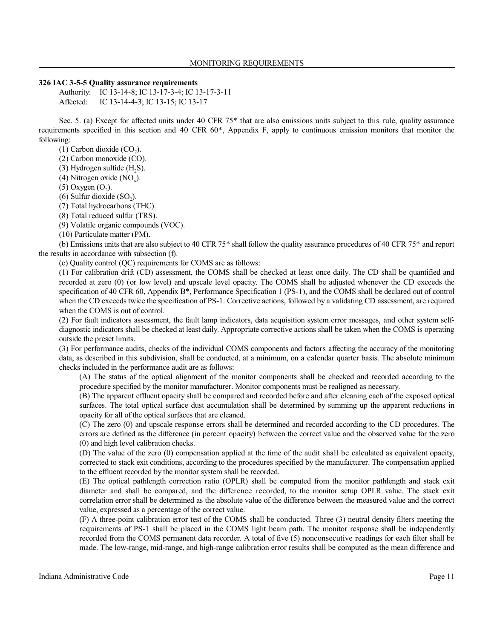#### **326 IAC 3-5-5 Quality assurance requirements**

Authority: IC 13-14-8; IC 13-17-3-4; IC 13-17-3-11 Affected: IC 13-14-4-3; IC 13-15; IC 13-17

Sec. 5. (a) Except for affected units under 40 CFR 75\* that are also emissions units subject to this rule, quality assurance requirements specified in this section and 40 CFR 60\*, Appendix F, apply to continuous emission monitors that monitor the following:

(1) Carbon dioxide  $(CO_2)$ .

(2) Carbon monoxide (CO).

(3) Hydrogen sulfide  $(H_2S)$ .

(4) Nitrogen oxide  $(NO_x)$ .

 $(5)$  Oxygen  $(O_2)$ .

(6) Sulfur dioxide  $(SO_2)$ .

(7) Total hydrocarbons (THC).

(8) Total reduced sulfur (TRS).

(9) Volatile organic compounds (VOC).

(10) Particulate matter (PM).

(b) Emissions units that are also subject to 40 CFR 75\* shall follow the quality assurance procedures of 40 CFR 75\* and report the results in accordance with subsection (f).

(c) Quality control (QC) requirements for COMS are as follows:

(1) For calibration drift (CD) assessment, the COMS shall be checked at least once daily. The CD shall be quantified and recorded at zero (0) (or low level) and upscale level opacity. The COMS shall be adjusted whenever the CD exceeds the specification of 40 CFR 60, Appendix B\*, Performance Specification 1 (PS-1), and the COMS shall be declared out of control when the CD exceeds twice the specification of PS-1. Corrective actions, followed by a validating CD assessment, are required when the COMS is out of control.

(2) For fault indicators assessment, the fault lamp indicators, data acquisition system error messages, and other system selfdiagnostic indicators shall be checked at least daily. Appropriate corrective actions shall be taken when the COMS is operating outside the preset limits.

(3) For performance audits, checks of the individual COMS components and factors affecting the accuracy of the monitoring data, as described in this subdivision, shall be conducted, at a minimum, on a calendar quarter basis. The absolute minimum checks included in the performance audit are as follows:

(A) The status of the optical alignment of the monitor components shall be checked and recorded according to the procedure specified by the monitor manufacturer. Monitor components must be realigned as necessary.

(B) The apparent effluent opacity shall be compared and recorded before and after cleaning each of the exposed optical surfaces. The total optical surface dust accumulation shall be determined by summing up the apparent reductions in opacity for all of the optical surfaces that are cleaned.

(C) The zero (0) and upscale response errors shall be determined and recorded according to the CD procedures. The errors are defined as the difference (in percent opacity) between the correct value and the observed value for the zero (0) and high level calibration checks.

(D) The value of the zero (0) compensation applied at the time of the audit shall be calculated as equivalent opacity, corrected to stack exit conditions, according to the procedures specified by the manufacturer. The compensation applied to the effluent recorded by the monitor system shall be recorded.

(E) The optical pathlength correction ratio (OPLR) shall be computed from the monitor pathlength and stack exit diameter and shall be compared, and the difference recorded, to the monitor setup OPLR value. The stack exit correlation error shall be determined as the absolute value of the difference between the measured value and the correct value, expressed as a percentage of the correct value.

(F) A three-point calibration error test of the COMS shall be conducted. Three (3) neutral density filters meeting the requirements of PS-1 shall be placed in the COMS light beam path. The monitor response shall be independently recorded from the COMS permanent data recorder. A total of five (5) nonconsecutive readings for each filter shall be made. The low-range, mid-range, and high-range calibration error results shall be computed as the mean difference and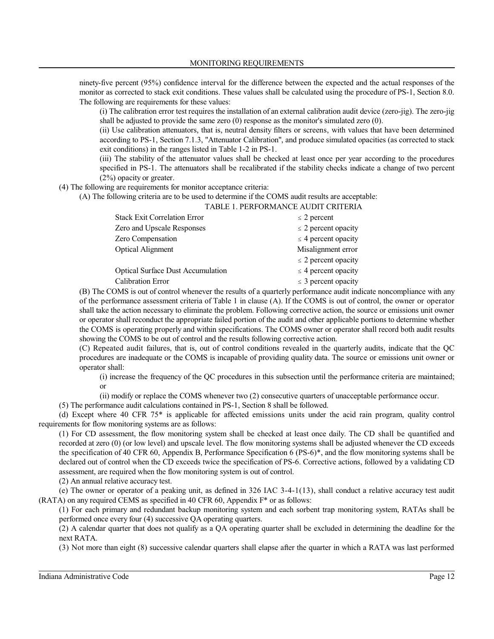ninety-five percent (95%) confidence interval for the difference between the expected and the actual responses of the monitor as corrected to stack exit conditions. These values shall be calculated using the procedure of PS-1, Section 8.0. The following are requirements for these values:

(i) The calibration error test requires the installation of an external calibration audit device (zero-jig). The zero-jig shall be adjusted to provide the same zero (0) response as the monitor's simulated zero (0).

(ii) Use calibration attenuators, that is, neutral density filters or screens, with values that have been determined according to PS-1, Section 7.1.3, "Attenuator Calibration", and produce simulated opacities (as corrected to stack exit conditions) in the ranges listed in Table 1-2 in PS-1.

(iii) The stability of the attenuator values shall be checked at least once per year according to the procedures specified in PS-1. The attenuators shall be recalibrated if the stability checks indicate a change of two percent (2%) opacity or greater.

(4) The following are requirements for monitor acceptance criteria:

(A) The following criteria are to be used to determine if the COMS audit results are acceptable:

#### TABLE 1. PERFORMANCE AUDIT CRITERIA

| <b>Stack Exit Correlation Error</b>      | $\leq$ 2 percent         |
|------------------------------------------|--------------------------|
| Zero and Upscale Responses               | $\leq$ 2 percent opacity |
| Zero Compensation                        | $\leq$ 4 percent opacity |
| <b>Optical Alignment</b>                 | Misalignment error       |
|                                          | $\leq$ 2 percent opacity |
| <b>Optical Surface Dust Accumulation</b> | $\leq$ 4 percent opacity |
| <b>Calibration Error</b>                 | $\leq$ 3 percent opacity |

(B) The COMS is out of control whenever the results of a quarterly performance audit indicate noncompliance with any of the performance assessment criteria of Table 1 in clause (A). If the COMS is out of control, the owner or operator shall take the action necessary to eliminate the problem. Following corrective action, the source or emissions unit owner or operator shall reconduct the appropriate failed portion of the audit and other applicable portions to determine whether the COMS is operating properly and within specifications. The COMS owner or operator shall record both audit results showing the COMS to be out of control and the results following corrective action.

(C) Repeated audit failures, that is, out of control conditions revealed in the quarterly audits, indicate that the QC procedures are inadequate or the COMS is incapable of providing quality data. The source or emissions unit owner or operator shall:

(i) increase the frequency of the QC procedures in this subsection until the performance criteria are maintained; or

(ii) modify or replace the COMS whenever two (2) consecutive quarters of unacceptable performance occur.

(5) The performance audit calculations contained in PS-1, Section 8 shall be followed.

(d) Except where 40 CFR 75\* is applicable for affected emissions units under the acid rain program, quality control requirements for flow monitoring systems are as follows:

(1) For CD assessment, the flow monitoring system shall be checked at least once daily. The CD shall be quantified and recorded at zero (0) (or low level) and upscale level. The flow monitoring systems shall be adjusted whenever the CD exceeds the specification of 40 CFR 60, Appendix B, Performance Specification 6 (PS-6)\*, and the flow monitoring systems shall be declared out of control when the CD exceeds twice the specification of PS-6. Corrective actions, followed by a validating CD assessment, are required when the flow monitoring system is out of control.

(2) An annual relative accuracy test.

(e) The owner or operator of a peaking unit, as defined in 326 IAC 3-4-1(13), shall conduct a relative accuracy test audit (RATA) on any required CEMS as specified in 40 CFR 60, Appendix  $F^*$  or as follows:

(1) For each primary and redundant backup monitoring system and each sorbent trap monitoring system, RATAs shall be performed once every four (4) successive QA operating quarters.

(2) A calendar quarter that does not qualify as a QA operating quarter shall be excluded in determining the deadline for the next RATA.

(3) Not more than eight (8) successive calendar quarters shall elapse after the quarter in which a RATA was last performed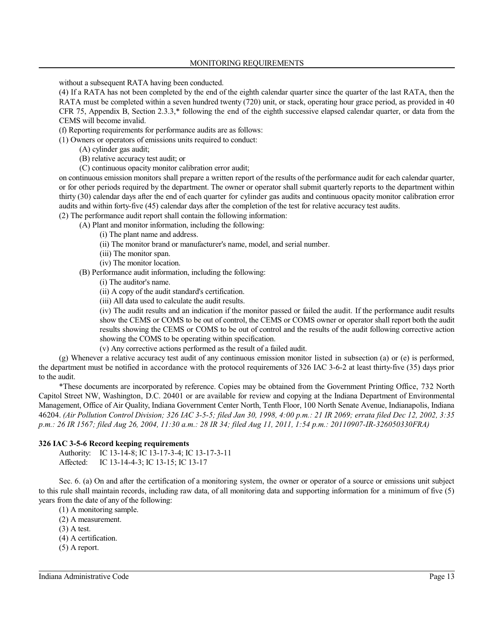without a subsequent RATA having been conducted.

(4) If a RATA has not been completed by the end of the eighth calendar quarter since the quarter of the last RATA, then the RATA must be completed within a seven hundred twenty (720) unit, or stack, operating hour grace period, as provided in 40 CFR 75, Appendix B, Section 2.3.3,\* following the end of the eighth successive elapsed calendar quarter, or data from the CEMS will become invalid.

(f) Reporting requirements for performance audits are as follows:

(1) Owners or operators of emissions units required to conduct:

- (A) cylinder gas audit;
- (B) relative accuracy test audit; or
- (C) continuous opacity monitor calibration error audit;

on continuous emission monitors shall prepare a written report of the results ofthe performance audit for each calendar quarter, or for other periods required by the department. The owner or operator shall submit quarterly reports to the department within thirty (30) calendar days after the end of each quarter for cylinder gas audits and continuous opacity monitor calibration error audits and within forty-five (45) calendar days after the completion of the test for relative accuracy test audits.

(2) The performance audit report shall contain the following information:

(A) Plant and monitor information, including the following:

- (i) The plant name and address.
- (ii) The monitor brand or manufacturer's name, model, and serial number.
- (iii) The monitor span.
- (iv) The monitor location.
- (B) Performance audit information, including the following:
	- (i) The auditor's name.
	- (ii) A copy of the audit standard's certification.
	- (iii) All data used to calculate the audit results.

(iv) The audit results and an indication if the monitor passed or failed the audit. If the performance audit results show the CEMS or COMS to be out of control, the CEMS or COMS owner or operator shall report both the audit results showing the CEMS or COMS to be out of control and the results of the audit following corrective action showing the COMS to be operating within specification.

(v) Any corrective actions performed as the result of a failed audit.

(g) Whenever a relative accuracy test audit of any continuous emission monitor listed in subsection (a) or (e) is performed, the department must be notified in accordance with the protocol requirements of 326 IAC 3-6-2 at least thirty-five (35) days prior to the audit.

\*These documents are incorporated by reference. Copies may be obtained from the Government Printing Office, 732 North Capitol Street NW, Washington, D.C. 20401 or are available for review and copying at the Indiana Department of Environmental Management, Office of Air Quality, Indiana Government Center North, Tenth Floor, 100 North Senate Avenue, Indianapolis, Indiana 46204. *(Air Pollution Control Division; 326 IAC 3-5-5; filed Jan 30, 1998, 4:00 p.m.: 21 IR 2069; errata filed Dec 12, 2002, 3:35 p.m.: 26 IR 1567; filed Aug 26, 2004, 11:30 a.m.: 28 IR 34; filed Aug 11, 2011, 1:54 p.m.: 20110907-IR-326050330FRA)*

# **326 IAC 3-5-6 Record keeping requirements**

Authority: IC 13-14-8; IC 13-17-3-4; IC 13-17-3-11 Affected: IC 13-14-4-3; IC 13-15; IC 13-17

Sec. 6. (a) On and after the certification of a monitoring system, the owner or operator of a source or emissions unit subject to this rule shall maintain records, including raw data, of all monitoring data and supporting information for a minimum of five (5) years from the date of any of the following:

(1) A monitoring sample.

- (2) A measurement.
- (3) A test.
- (4) A certification.
- (5) A report.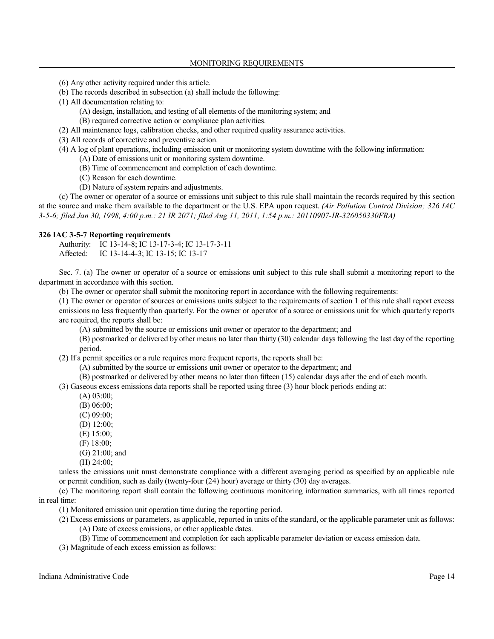- (6) Any other activity required under this article.
- (b) The records described in subsection (a) shall include the following:
- (1) All documentation relating to:
	- (A) design, installation, and testing of all elements of the monitoring system; and
	- (B) required corrective action or compliance plan activities.
- (2) All maintenance logs, calibration checks, and other required quality assurance activities.
- (3) All records of corrective and preventive action.
- (4) A log of plant operations, including emission unit or monitoring system downtime with the following information:
	- (A) Date of emissions unit or monitoring system downtime.
	- (B) Time of commencement and completion of each downtime.
	- (C) Reason for each downtime.
	- (D) Nature of system repairs and adjustments.

(c) The owner or operator of a source or emissions unit subject to this rule shall maintain the records required by this section at the source and make them available to the department or the U.S. EPA upon request. *(Air Pollution Control Division; 326 IAC 3-5-6; filed Jan 30, 1998, 4:00 p.m.: 21 IR 2071; filed Aug 11, 2011, 1:54 p.m.: 20110907-IR-326050330FRA)*

#### **326 IAC 3-5-7 Reporting requirements**

Authority: IC 13-14-8; IC 13-17-3-4; IC 13-17-3-11 Affected: IC 13-14-4-3; IC 13-15; IC 13-17

Sec. 7. (a) The owner or operator of a source or emissions unit subject to this rule shall submit a monitoring report to the department in accordance with this section.

(b) The owner or operator shall submit the monitoring report in accordance with the following requirements:

(1) The owner or operator of sources or emissions units subject to the requirements of section 1 of this rule shall report excess emissions no less frequently than quarterly. For the owner or operator of a source or emissions unit for which quarterly reports are required, the reports shall be:

(A) submitted by the source or emissions unit owner or operator to the department; and

(B) postmarked or delivered by other means no later than thirty (30) calendar days following the last day of the reporting period.

(2) If a permit specifies or a rule requires more frequent reports, the reports shall be:

- (A) submitted by the source or emissions unit owner or operator to the department; and
- (B) postmarked or delivered by other means no later than fifteen (15) calendar days after the end of each month.

(3) Gaseous excess emissions data reports shall be reported using three (3) hour block periods ending at:

- (A) 03:00;
- (B) 06:00;
- (C) 09:00;
- (D) 12:00;
- (E) 15:00;
- (F) 18:00;
- (G) 21:00; and
- (H) 24:00;

unless the emissions unit must demonstrate compliance with a different averaging period as specified by an applicable rule or permit condition, such as daily (twenty-four (24) hour) average or thirty (30) day averages.

(c) The monitoring report shall contain the following continuous monitoring information summaries, with all times reported in real time:

(1) Monitored emission unit operation time during the reporting period.

(2) Excess emissions or parameters, as applicable, reported in units ofthe standard, or the applicable parameter unit as follows: (A) Date of excess emissions, or other applicable dates.

(B) Time of commencement and completion for each applicable parameter deviation or excess emission data.

(3) Magnitude of each excess emission as follows: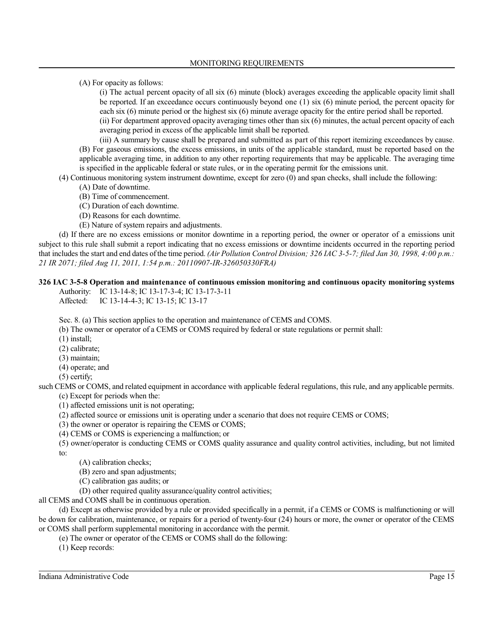(A) For opacity as follows:

(i) The actual percent opacity of all six (6) minute (block) averages exceeding the applicable opacity limit shall be reported. If an exceedance occurs continuously beyond one (1) six (6) minute period, the percent opacity for each six (6) minute period or the highest six (6) minute average opacity for the entire period shall be reported. (ii) For department approved opacity averaging times other than six (6) minutes, the actual percent opacity of each

averaging period in excess of the applicable limit shall be reported.

(iii) A summary by cause shall be prepared and submitted as part of this report itemizing exceedances by cause. (B) For gaseous emissions, the excess emissions, in units of the applicable standard, must be reported based on the applicable averaging time, in addition to any other reporting requirements that may be applicable. The averaging time is specified in the applicable federal or state rules, or in the operating permit for the emissions unit.

(4) Continuous monitoring system instrument downtime, except for zero (0) and span checks, shall include the following:

- (A) Date of downtime.
- (B) Time of commencement.
- (C) Duration of each downtime.
- (D) Reasons for each downtime.
- (E) Nature of system repairs and adjustments.

(d) If there are no excess emissions or monitor downtime in a reporting period, the owner or operator of a emissions unit subject to this rule shall submit a report indicating that no excess emissions or downtime incidents occurred in the reporting period that includes the start and end dates ofthe time period. *(Air Pollution Control Division; 326 IAC 3-5-7; filed Jan 30, 1998, 4:00 p.m.: 21 IR 2071; filed Aug 11, 2011, 1:54 p.m.: 20110907-IR-326050330FRA)*

# **326 IAC 3-5-8 Operation and maintenance of continuous emission monitoring and continuous opacity monitoring systems**

Authority: IC 13-14-8; IC 13-17-3-4; IC 13-17-3-11 Affected: IC 13-14-4-3; IC 13-15; IC 13-17

Sec. 8. (a) This section applies to the operation and maintenance of CEMS and COMS.

(b) The owner or operator of a CEMS or COMS required by federal or state regulations or permit shall:

(1) install;

(2) calibrate;

(3) maintain;

(4) operate; and

(5) certify;

such CEMS or COMS, and related equipment in accordance with applicable federal regulations, this rule, and any applicable permits. (c) Except for periods when the:

(1) affected emissions unit is not operating;

(2) affected source or emissions unit is operating under a scenario that does not require CEMS or COMS;

(3) the owner or operator is repairing the CEMS or COMS;

(4) CEMS or COMS is experiencing a malfunction; or

(5) owner/operator is conducting CEMS or COMS quality assurance and quality control activities, including, but not limited to:

(A) calibration checks;

(B) zero and span adjustments;

(C) calibration gas audits; or

(D) other required quality assurance/quality control activities;

all CEMS and COMS shall be in continuous operation.

(d) Except as otherwise provided by a rule or provided specifically in a permit, if a CEMS or COMS is malfunctioning or will be down for calibration, maintenance, or repairs for a period of twenty-four (24) hours or more, the owner or operator of the CEMS or COMS shall perform supplemental monitoring in accordance with the permit.

(e) The owner or operator of the CEMS or COMS shall do the following:

(1) Keep records: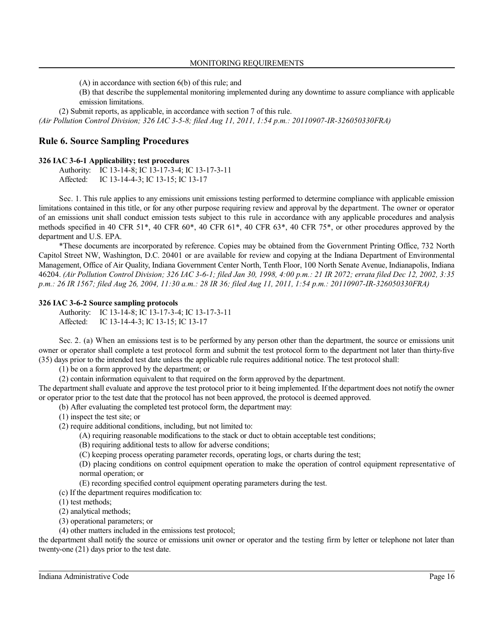(A) in accordance with section 6(b) of this rule; and

(B) that describe the supplemental monitoring implemented during any downtime to assure compliance with applicable emission limitations.

(2) Submit reports, as applicable, in accordance with section 7 of this rule.

*(Air Pollution Control Division; 326 IAC 3-5-8; filed Aug 11, 2011, 1:54 p.m.: 20110907-IR-326050330FRA)*

# **Rule 6. Source Sampling Procedures**

#### **326 IAC 3-6-1 Applicability; test procedures**

Authority: IC 13-14-8; IC 13-17-3-4; IC 13-17-3-11 Affected: IC 13-14-4-3; IC 13-15; IC 13-17

Sec. 1. This rule applies to any emissions unit emissions testing performed to determine compliance with applicable emission limitations contained in this title, or for any other purpose requiring review and approval by the department. The owner or operator of an emissions unit shall conduct emission tests subject to this rule in accordance with any applicable procedures and analysis methods specified in 40 CFR 51\*, 40 CFR 60\*, 40 CFR 61\*, 40 CFR 63\*, 40 CFR 75\*, or other procedures approved by the department and U.S. EPA.

\*These documents are incorporated by reference. Copies may be obtained from the Government Printing Office, 732 North Capitol Street NW, Washington, D.C. 20401 or are available for review and copying at the Indiana Department of Environmental Management, Office of Air Quality, Indiana Government Center North, Tenth Floor, 100 North Senate Avenue, Indianapolis, Indiana 46204. *(Air Pollution Control Division; 326 IAC 3-6-1; filed Jan 30, 1998, 4:00 p.m.: 21 IR 2072; errata filed Dec 12, 2002, 3:35 p.m.: 26 IR 1567; filed Aug 26, 2004, 11:30 a.m.: 28 IR 36; filed Aug 11, 2011, 1:54 p.m.: 20110907-IR-326050330FRA)*

#### **326 IAC 3-6-2 Source sampling protocols**

Authority: IC 13-14-8; IC 13-17-3-4; IC 13-17-3-11 Affected: IC 13-14-4-3; IC 13-15; IC 13-17

Sec. 2. (a) When an emissions test is to be performed by any person other than the department, the source or emissions unit owner or operator shall complete a test protocol form and submit the test protocol form to the department not later than thirty-five (35) days prior to the intended test date unless the applicable rule requires additional notice. The test protocol shall:

(1) be on a form approved by the department; or

(2) contain information equivalent to that required on the form approved by the department.

The department shall evaluate and approve the test protocol prior to it being implemented. If the department does not notify the owner or operator prior to the test date that the protocol has not been approved, the protocol is deemed approved.

(b) After evaluating the completed test protocol form, the department may:

(1) inspect the test site; or

(2) require additional conditions, including, but not limited to:

- (A) requiring reasonable modifications to the stack or duct to obtain acceptable test conditions;
- (B) requiring additional tests to allow for adverse conditions;
- (C) keeping process operating parameter records, operating logs, or charts during the test;

(D) placing conditions on control equipment operation to make the operation of control equipment representative of normal operation; or

(E) recording specified control equipment operating parameters during the test.

(c) If the department requires modification to:

(1) test methods;

(2) analytical methods;

(3) operational parameters; or

(4) other matters included in the emissions test protocol;

the department shall notify the source or emissions unit owner or operator and the testing firm by letter or telephone not later than twenty-one (21) days prior to the test date.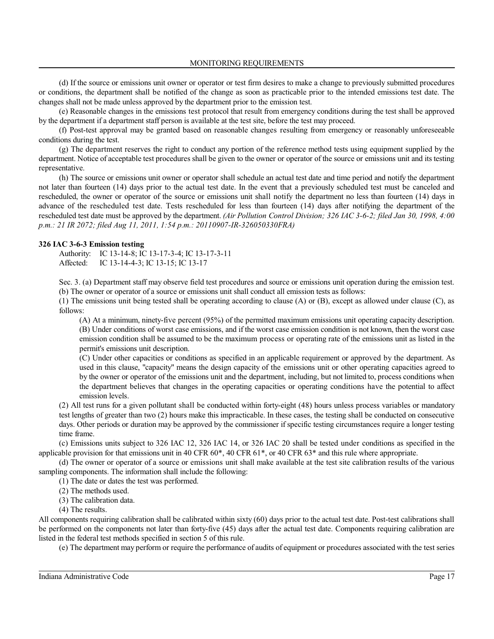MONITORING REQUIREMENTS

(d) If the source or emissions unit owner or operator or test firm desires to make a change to previously submitted procedures or conditions, the department shall be notified of the change as soon as practicable prior to the intended emissions test date. The changes shall not be made unless approved by the department prior to the emission test.

(e) Reasonable changes in the emissions test protocol that result from emergency conditions during the test shall be approved by the department if a department staff person is available at the test site, before the test may proceed.

(f) Post-test approval may be granted based on reasonable changes resulting from emergency or reasonably unforeseeable conditions during the test.

(g) The department reserves the right to conduct any portion of the reference method tests using equipment supplied by the department. Notice of acceptable test procedures shall be given to the owner or operator of the source or emissions unit and its testing representative.

(h) The source or emissions unit owner or operator shall schedule an actual test date and time period and notify the department not later than fourteen (14) days prior to the actual test date. In the event that a previously scheduled test must be canceled and rescheduled, the owner or operator of the source or emissions unit shall notify the department no less than fourteen (14) days in advance of the rescheduled test date. Tests rescheduled for less than fourteen (14) days after notifying the department of the rescheduled test date must be approved by the department. *(Air Pollution Control Division; 326 IAC 3-6-2; filed Jan 30, 1998, 4:00 p.m.: 21 IR 2072; filed Aug 11, 2011, 1:54 p.m.: 20110907-IR-326050330FRA)*

#### **326 IAC 3-6-3 Emission testing**

Authority: IC 13-14-8; IC 13-17-3-4; IC 13-17-3-11 Affected: IC 13-14-4-3; IC 13-15; IC 13-17

Sec. 3. (a) Department staff may observe field test procedures and source or emissions unit operation during the emission test. (b) The owner or operator of a source or emissions unit shall conduct all emission tests as follows:

(1) The emissions unit being tested shall be operating according to clause (A) or (B), except as allowed under clause (C), as follows:

(A) At a minimum, ninety-five percent (95%) of the permitted maximum emissions unit operating capacity description. (B) Under conditions of worst case emissions, and if the worst case emission condition is not known, then the worst case emission condition shall be assumed to be the maximum process or operating rate of the emissions unit as listed in the permit's emissions unit description.

(C) Under other capacities or conditions as specified in an applicable requirement or approved by the department. As used in this clause, "capacity" means the design capacity of the emissions unit or other operating capacities agreed to by the owner or operator of the emissions unit and the department, including, but not limited to, process conditions when the department believes that changes in the operating capacities or operating conditions have the potential to affect emission levels.

(2) All test runs for a given pollutant shall be conducted within forty-eight (48) hours unless process variables or mandatory test lengths of greater than two (2) hours make this impracticable. In these cases, the testing shall be conducted on consecutive days. Other periods or duration may be approved by the commissioner if specific testing circumstances require a longer testing time frame.

(c) Emissions units subject to 326 IAC 12, 326 IAC 14, or 326 IAC 20 shall be tested under conditions as specified in the applicable provision for that emissions unit in 40 CFR 60\*, 40 CFR 61\*, or 40 CFR 63\* and this rule where appropriate.

(d) The owner or operator of a source or emissions unit shall make available at the test site calibration results of the various sampling components. The information shall include the following:

(1) The date or dates the test was performed.

(2) The methods used.

(3) The calibration data.

(4) The results.

All components requiring calibration shall be calibrated within sixty (60) days prior to the actual test date. Post-test calibrations shall be performed on the components not later than forty-five (45) days after the actual test date. Components requiring calibration are listed in the federal test methods specified in section 5 of this rule.

(e) The department may perform or require the performance of audits of equipment or procedures associated with the test series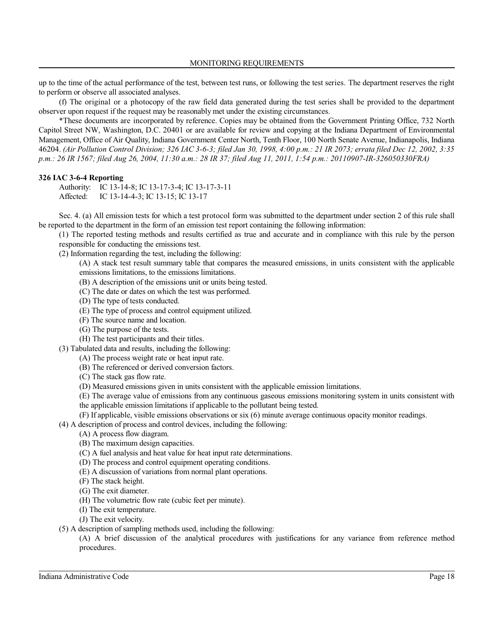up to the time of the actual performance of the test, between test runs, or following the test series. The department reserves the right to perform or observe all associated analyses.

(f) The original or a photocopy of the raw field data generated during the test series shall be provided to the department observer upon request if the request may be reasonably met under the existing circumstances.

\*These documents are incorporated by reference. Copies may be obtained from the Government Printing Office, 732 North Capitol Street NW, Washington, D.C. 20401 or are available for review and copying at the Indiana Department of Environmental Management, Office of Air Quality, Indiana Government Center North, Tenth Floor, 100 North Senate Avenue, Indianapolis, Indiana 46204. *(Air Pollution Control Division; 326 IAC 3-6-3; filed Jan 30, 1998, 4:00 p.m.: 21 IR 2073; errata filed Dec 12, 2002, 3:35 p.m.: 26 IR 1567; filed Aug 26, 2004, 11:30 a.m.: 28 IR 37; filed Aug 11, 2011, 1:54 p.m.: 20110907-IR-326050330FRA)*

# **326 IAC 3-6-4 Reporting**

Authority: IC 13-14-8; IC 13-17-3-4; IC 13-17-3-11 Affected: IC 13-14-4-3; IC 13-15; IC 13-17

Sec. 4. (a) All emission tests for which a test protocol form was submitted to the department under section 2 of this rule shall be reported to the department in the form of an emission test report containing the following information:

(1) The reported testing methods and results certified as true and accurate and in compliance with this rule by the person responsible for conducting the emissions test.

(2) Information regarding the test, including the following:

(A) A stack test result summary table that compares the measured emissions, in units consistent with the applicable emissions limitations, to the emissions limitations.

(B) A description of the emissions unit or units being tested.

(C) The date or dates on which the test was performed.

- (D) The type of tests conducted.
- (E) The type of process and control equipment utilized.
- (F) The source name and location.
- (G) The purpose of the tests.
- (H) The test participants and their titles.
- (3) Tabulated data and results, including the following:
	- (A) The process weight rate or heat input rate.
	- (B) The referenced or derived conversion factors.
	- (C) The stack gas flow rate.
	- (D) Measured emissions given in units consistent with the applicable emission limitations.

(E) The average value of emissions from any continuous gaseous emissions monitoring system in units consistent with the applicable emission limitations if applicable to the pollutant being tested.

(F) If applicable, visible emissions observations or six (6) minute average continuous opacity monitor readings.

(4) A description of process and control devices, including the following:

- (A) A process flow diagram.
- (B) The maximum design capacities.
- (C) A fuel analysis and heat value for heat input rate determinations.
- (D) The process and control equipment operating conditions.
- (E) A discussion of variations from normal plant operations.
- (F) The stack height.
- (G) The exit diameter.
- (H) The volumetric flow rate (cubic feet per minute).
- (I) The exit temperature.
- (J) The exit velocity.
- (5) A description of sampling methods used, including the following:

(A) A brief discussion of the analytical procedures with justifications for any variance from reference method procedures.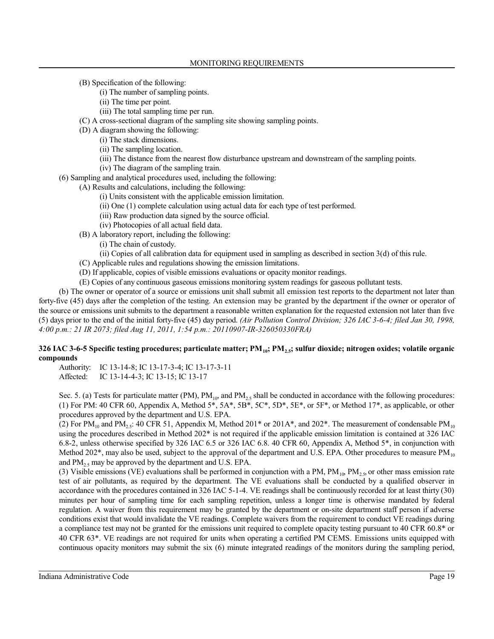(B) Specification of the following:

- (i) The number of sampling points.
- (ii) The time per point.
- (iii) The total sampling time per run.
- (C) A cross-sectional diagram of the sampling site showing sampling points.
- (D) A diagram showing the following:
	- (i) The stack dimensions.
	- (ii) The sampling location.
	- (iii) The distance from the nearest flow disturbance upstream and downstream of the sampling points.
	- (iv) The diagram of the sampling train.
- (6) Sampling and analytical procedures used, including the following:
	- (A) Results and calculations, including the following:
		- (i) Units consistent with the applicable emission limitation.
		- (ii) One (1) complete calculation using actual data for each type of test performed.
		- (iii) Raw production data signed by the source official.
		- (iv) Photocopies of all actual field data.
	- (B) A laboratory report, including the following:
		- (i) The chain of custody.
		- (ii) Copies of all calibration data for equipment used in sampling as described in section 3(d) of this rule.
	- (C) Applicable rules and regulations showing the emission limitations.
	- (D) If applicable, copies of visible emissions evaluations or opacity monitor readings.
	- (E) Copies of any continuous gaseous emissions monitoring system readings for gaseous pollutant tests.

(b) The owner or operator of a source or emissions unit shall submit all emission test reports to the department not later than forty-five (45) days after the completion of the testing. An extension may be granted by the department if the owner or operator of the source or emissions unit submits to the department a reasonable written explanation for the requested extension not later than five (5) days prior to the end of the initial forty-five (45) day period. *(Air Pollution Control Division; 326 IAC 3-6-4; filed Jan 30, 1998, 4:00 p.m.: 21 IR 2073; filed Aug 11, 2011, 1:54 p.m.: 20110907-IR-326050330FRA)*

### **326 IAC 3-6-5 Specific testing procedures; particulate matter; PM<sub>10</sub>; PM<sub>25</sub>; sulfur dioxide; nitrogen oxides; volatile organic compounds**

Authority: IC 13-14-8; IC 13-17-3-4; IC 13-17-3-11 Affected: IC 13-14-4-3; IC 13-15; IC 13-17

Sec. 5. (a) Tests for particulate matter (PM),  $PM_{10}$  and  $PM_{25}$  shall be conducted in accordance with the following procedures: (1) For PM: 40 CFR 60, Appendix A, Method 5\*, 5A\*, 5B\*, 5C\*, 5D\*, 5E\*, or 5F\*, or Method 17\*, as applicable, or other procedures approved by the department and U.S. EPA.

(2) For PM<sub>10</sub> and PM<sub>2.5</sub>: 40 CFR 51, Appendix M, Method 201\* or 201A\*, and 202\*. The measurement of condensable PM<sub>10</sub> using the procedures described in Method 202\* is not required if the applicable emission limitation is contained at 326 IAC 6.8-2, unless otherwise specified by 326 IAC 6.5 or 326 IAC 6.8. 40 CFR 60, Appendix A, Method 5\*, in conjunction with Method 202 $^*$ , may also be used, subject to the approval of the department and U.S. EPA. Other procedures to measure PM<sub>10</sub> and  $PM_2$ , may be approved by the department and U.S. EPA.

(3) Visible emissions (VE) evaluations shall be performed in conjunction with a PM,  $PM_{10}$ , PM<sub>25</sub> or other mass emission rate test of air pollutants, as required by the department. The VE evaluations shall be conducted by a qualified observer in accordance with the procedures contained in 326 IAC 5-1-4. VE readings shall be continuously recorded for at least thirty (30) minutes per hour of sampling time for each sampling repetition, unless a longer time is otherwise mandated by federal regulation. A waiver from this requirement may be granted by the department or on-site department staff person if adverse conditions exist that would invalidate the VE readings. Complete waivers from the requirement to conduct VE readings during a compliance test may not be granted for the emissions unit required to complete opacity testing pursuant to 40 CFR 60.8\* or 40 CFR 63\*. VE readings are not required for units when operating a certified PM CEMS. Emissions units equipped with continuous opacity monitors may submit the six (6) minute integrated readings of the monitors during the sampling period,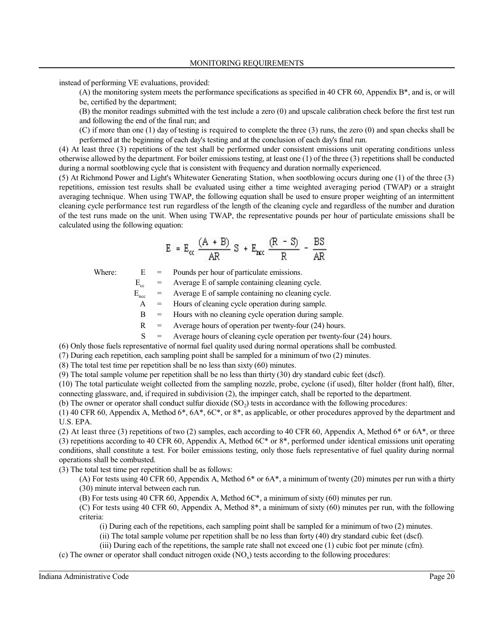instead of performing VE evaluations, provided:

(A) the monitoring system meets the performance specifications as specified in 40 CFR 60, Appendix B\*, and is, or will be, certified by the department;

(B) the monitor readings submitted with the test include a zero (0) and upscale calibration check before the first test run and following the end of the final run; and

(C) if more than one (1) day of testing is required to complete the three (3) runs, the zero (0) and span checks shall be performed at the beginning of each day's testing and at the conclusion of each day's final run.

(4) At least three (3) repetitions of the test shall be performed under consistent emissions unit operating conditions unless otherwise allowed by the department. For boiler emissions testing, at least one (1) of the three (3) repetitions shall be conducted during a normal sootblowing cycle that is consistent with frequency and duration normally experienced.

(5) At Richmond Power and Light's Whitewater Generating Station, when sootblowing occurs during one (1) of the three (3) repetitions, emission test results shall be evaluated using either a time weighted averaging period (TWAP) or a straight averaging technique. When using TWAP, the following equation shall be used to ensure proper weighting of an intermittent cleaning cycle performance test run regardless of the length of the cleaning cycle and regardless of the number and duration of the test runs made on the unit. When using TWAP, the representative pounds per hour of particulate emissions shall be calculated using the following equation:

$$
E = E_{cc} \frac{(A + B)}{AR} S + E_{rec} \frac{(R - S)}{R} = \frac{BS}{AR}
$$

Where:  $E =$  Pounds per hour of particulate emissions.

 $E_{cc}$  = Average E of sample containing cleaning cycle.

 $E_{\text{ncc}}$  = Average E of sample containing no cleaning cycle.

A = Hours of cleaning cycle operation during sample.

B = Hours with no cleaning cycle operation during sample.

 $R =$  Average hours of operation per twenty-four (24) hours.

 $S =$  Average hours of cleaning cycle operation per twenty-four (24) hours.

(6) Only those fuels representative of normal fuel quality used during normal operations shall be combusted.

(7) During each repetition, each sampling point shall be sampled for a minimum of two (2) minutes.

(8) The total test time per repetition shall be no less than sixty (60) minutes.

(9) The total sample volume per repetition shall be no less than thirty (30) dry standard cubic feet (dscf).

(10) The total particulate weight collected from the sampling nozzle, probe, cyclone (if used), filter holder (front half), filter, connecting glassware, and, if required in subdivision (2), the impinger catch, shall be reported to the department.

(b) The owner or operator shall conduct sulfur dioxide  $(SO<sub>2</sub>)$  tests in accordance with the following procedures:

(1) 40 CFR 60, Appendix A, Method 6\*, 6A\*, 6C\*, or 8\*, as applicable, or other procedures approved by the department and U.S. EPA.

(2) At least three (3) repetitions of two (2) samples, each according to 40 CFR 60, Appendix A, Method 6 $*$  or 6A $*$ , or three (3) repetitions according to 40 CFR 60, Appendix A, Method 6C\* or 8\*, performed under identical emissions unit operating conditions, shall constitute a test. For boiler emissions testing, only those fuels representative of fuel quality during normal operations shall be combusted.

(3) The total test time per repetition shall be as follows:

(A) For tests using 40 CFR 60, Appendix A, Method 6\* or 6A\*, a minimum of twenty (20) minutes per run with a thirty (30) minute interval between each run.

(B) For tests using 40 CFR 60, Appendix A, Method 6C\*, a minimum of sixty (60) minutes per run.

(C) For tests using 40 CFR 60, Appendix A, Method 8\*, a minimum of sixty (60) minutes per run, with the following criteria:

(i) During each of the repetitions, each sampling point shall be sampled for a minimum of two (2) minutes.

(ii) The total sample volume per repetition shall be no less than forty (40) dry standard cubic feet (dscf).

(iii) During each of the repetitions, the sample rate shall not exceed one (1) cubic foot per minute (cfm).

(c) The owner or operator shall conduct nitrogen oxide  $(NO_x)$  tests according to the following procedures: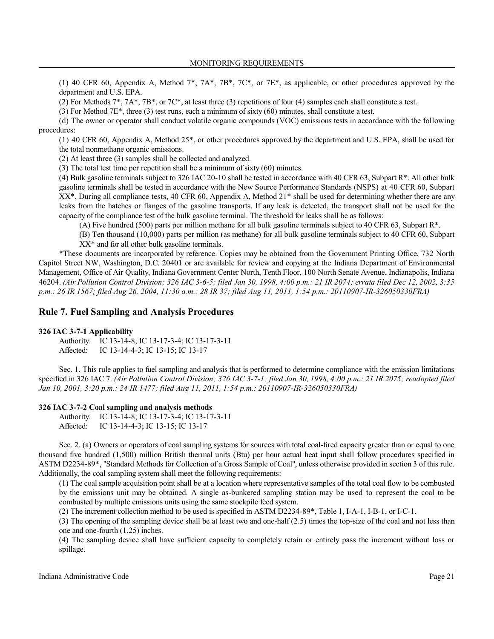(1) 40 CFR 60, Appendix A, Method 7\*, 7A\*, 7B\*, 7C\*, or 7E\*, as applicable, or other procedures approved by the department and U.S. EPA.

(2) For Methods  $7^*$ ,  $7A^*$ ,  $7B^*$ , or  $7C^*$ , at least three (3) repetitions of four (4) samples each shall constitute a test.

(3) For Method 7E\*, three (3) test runs, each a minimum of sixty (60) minutes, shall constitute a test.

(d) The owner or operator shall conduct volatile organic compounds (VOC) emissions tests in accordance with the following procedures:

(1) 40 CFR 60, Appendix A, Method 25\*, or other procedures approved by the department and U.S. EPA, shall be used for the total nonmethane organic emissions.

(2) At least three (3) samples shall be collected and analyzed.

(3) The total test time per repetition shall be a minimum of sixty (60) minutes.

(4) Bulk gasoline terminals subject to 326 IAC 20-10 shall be tested in accordance with 40 CFR 63, Subpart R\*. All other bulk gasoline terminals shall be tested in accordance with the New Source Performance Standards (NSPS) at 40 CFR 60, Subpart XX\*. During all compliance tests, 40 CFR 60, Appendix A, Method 21\* shall be used for determining whether there are any leaks from the hatches or flanges of the gasoline transports. If any leak is detected, the transport shall not be used for the capacity of the compliance test of the bulk gasoline terminal. The threshold for leaks shall be as follows:

(A) Five hundred (500) parts per million methane for all bulk gasoline terminals subject to 40 CFR 63, Subpart R\*.

(B) Ten thousand (10,000) parts per million (as methane) for all bulk gasoline terminals subject to 40 CFR 60, Subpart XX\* and for all other bulk gasoline terminals.

\*These documents are incorporated by reference. Copies may be obtained from the Government Printing Office, 732 North Capitol Street NW, Washington, D.C. 20401 or are available for review and copying at the Indiana Department of Environmental Management, Office of Air Quality, Indiana Government Center North, Tenth Floor, 100 North Senate Avenue, Indianapolis, Indiana 46204. *(Air Pollution Control Division; 326 IAC 3-6-5; filed Jan 30, 1998, 4:00 p.m.: 21 IR 2074; errata filed Dec 12, 2002, 3:35 p.m.: 26 IR 1567; filed Aug 26, 2004, 11:30 a.m.: 28 IR 37; filed Aug 11, 2011, 1:54 p.m.: 20110907-IR-326050330FRA)*

# **Rule 7. Fuel Sampling and Analysis Procedures**

#### **326 IAC 3-7-1 Applicability**

Authority: IC 13-14-8; IC 13-17-3-4; IC 13-17-3-11 Affected: IC 13-14-4-3; IC 13-15; IC 13-17

Sec. 1. This rule applies to fuel sampling and analysis that is performed to determine compliance with the emission limitations specified in 326 IAC 7. *(Air Pollution Control Division; 326 IAC 3-7-1; filed Jan 30, 1998, 4:00 p.m.: 21 IR 2075; readopted filed Jan 10, 2001, 3:20 p.m.: 24 IR 1477; filed Aug 11, 2011, 1:54 p.m.: 20110907-IR-326050330FRA)*

#### **326 IAC 3-7-2 Coal sampling and analysis methods**

Authority: IC 13-14-8; IC 13-17-3-4; IC 13-17-3-11 Affected: IC 13-14-4-3; IC 13-15; IC 13-17

Sec. 2. (a) Owners or operators of coal sampling systems for sources with total coal-fired capacity greater than or equal to one thousand five hundred (1,500) million British thermal units (Btu) per hour actual heat input shall follow procedures specified in ASTM D2234-89\*, "Standard Methods for Collection of a Gross Sample ofCoal", unless otherwise provided in section 3 of this rule. Additionally, the coal sampling system shall meet the following requirements:

(1) The coal sample acquisition point shall be at a location where representative samples of the total coal flow to be combusted by the emissions unit may be obtained. A single as-bunkered sampling station may be used to represent the coal to be combusted by multiple emissions units using the same stockpile feed system.

(2) The increment collection method to be used is specified in ASTM D2234-89\*, Table 1, I-A-1, I-B-1, or I-C-1.

(3) The opening of the sampling device shall be at least two and one-half (2.5) times the top-size of the coal and not less than one and one-fourth (1.25) inches.

(4) The sampling device shall have sufficient capacity to completely retain or entirely pass the increment without loss or spillage.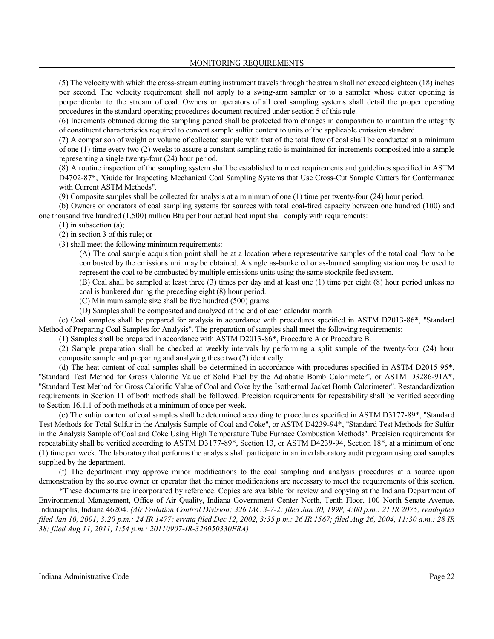MONITORING REQUIREMENTS

(5) The velocity with which the cross-stream cutting instrument travels through the stream shall not exceed eighteen (18) inches per second. The velocity requirement shall not apply to a swing-arm sampler or to a sampler whose cutter opening is perpendicular to the stream of coal. Owners or operators of all coal sampling systems shall detail the proper operating procedures in the standard operating procedures document required under section 5 of this rule.

(6) Increments obtained during the sampling period shall be protected from changes in composition to maintain the integrity of constituent characteristics required to convert sample sulfur content to units of the applicable emission standard.

(7) A comparison of weight or volume of collected sample with that of the total flow of coal shall be conducted at a minimum of one (1) time every two (2) weeks to assure a constant sampling ratio is maintained for increments composited into a sample representing a single twenty-four (24) hour period.

(8) A routine inspection of the sampling system shall be established to meet requirements and guidelines specified in ASTM D4702-87\*, "Guide for Inspecting Mechanical Coal Sampling Systems that Use Cross-Cut Sample Cutters for Conformance with Current ASTM Methods".

(9) Composite samples shall be collected for analysis at a minimum of one (1) time per twenty-four (24) hour period.

(b) Owners or operators of coal sampling systems for sources with total coal-fired capacity between one hundred (100) and one thousand five hundred (1,500) million Btu per hour actual heat input shall comply with requirements:

(1) in subsection (a);

(2) in section 3 of this rule; or

(3) shall meet the following minimum requirements:

(A) The coal sample acquisition point shall be at a location where representative samples of the total coal flow to be combusted by the emissions unit may be obtained. A single as-bunkered or as-burned sampling station may be used to represent the coal to be combusted by multiple emissions units using the same stockpile feed system.

(B) Coal shall be sampled at least three (3) times per day and at least one (1) time per eight (8) hour period unless no coal is bunkered during the preceding eight (8) hour period.

(C) Minimum sample size shall be five hundred (500) grams.

(D) Samples shall be composited and analyzed at the end of each calendar month.

(c) Coal samples shall be prepared for analysis in accordance with procedures specified in ASTM D2013-86\*, "Standard Method of Preparing Coal Samples for Analysis". The preparation of samples shall meet the following requirements:

(1) Samples shall be prepared in accordance with ASTM D2013-86\*, Procedure A or Procedure B.

(2) Sample preparation shall be checked at weekly intervals by performing a split sample of the twenty-four (24) hour composite sample and preparing and analyzing these two (2) identically.

(d) The heat content of coal samples shall be determined in accordance with procedures specified in ASTM D2015-95\*, "Standard Test Method for Gross Calorific Value of Solid Fuel by the Adiabatic Bomb Calorimeter", or ASTM D3286-91A\*, "Standard Test Method for Gross Calorific Value of Coal and Coke by the Isothermal Jacket Bomb Calorimeter". Restandardization requirements in Section 11 of both methods shall be followed. Precision requirements for repeatability shall be verified according to Section 16.1.1 of both methods at a minimum of once per week.

(e) The sulfur content of coal samples shall be determined according to procedures specified in ASTM D3177-89\*, "Standard Test Methods for Total Sulfur in the Analysis Sample of Coal and Coke", or ASTM D4239-94\*, "Standard Test Methods for Sulfur in the Analysis Sample of Coal and Coke Using High Temperature Tube Furnace Combustion Methods". Precision requirements for repeatability shall be verified according to ASTM D3177-89\*, Section 13, or ASTM D4239-94, Section 18\*, at a minimum of one (1) time per week. The laboratory that performs the analysis shall participate in an interlaboratory audit program using coal samples supplied by the department.

(f) The department may approve minor modifications to the coal sampling and analysis procedures at a source upon demonstration by the source owner or operator that the minor modifications are necessary to meet the requirements of this section.

\*These documents are incorporated by reference. Copies are available for review and copying at the Indiana Department of Environmental Management, Office of Air Quality, Indiana Government Center North, Tenth Floor, 100 North Senate Avenue, Indianapolis, Indiana 46204. *(Air Pollution Control Division; 326 IAC 3-7-2; filed Jan 30, 1998, 4:00 p.m.: 21 IR 2075; readopted filed Jan 10, 2001, 3:20 p.m.: 24 IR 1477; errata filed Dec 12, 2002, 3:35 p.m.: 26 IR 1567; filed Aug 26, 2004, 11:30 a.m.: 28 IR 38; filed Aug 11, 2011, 1:54 p.m.: 20110907-IR-326050330FRA)*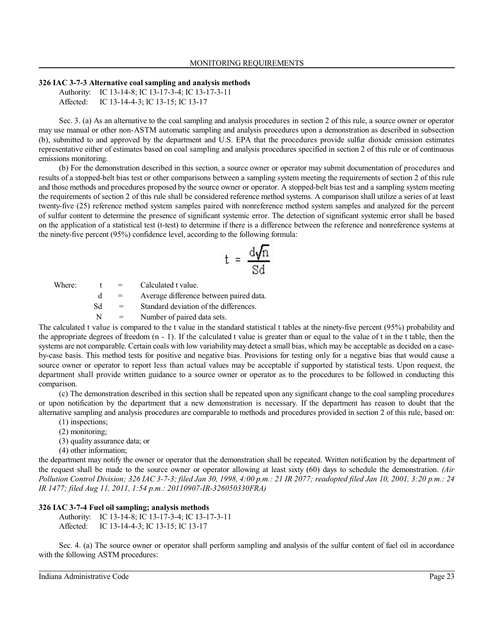#### **326 IAC 3-7-3 Alternative coal sampling and analysis methods**

Authority: IC 13-14-8; IC 13-17-3-4; IC 13-17-3-11 Affected: IC 13-14-4-3; IC 13-15; IC 13-17

Sec. 3. (a) As an alternative to the coal sampling and analysis procedures in section 2 of this rule, a source owner or operator may use manual or other non-ASTM automatic sampling and analysis procedures upon a demonstration as described in subsection (b), submitted to and approved by the department and U.S. EPA that the procedures provide sulfur dioxide emission estimates representative either of estimates based on coal sampling and analysis procedures specified in section 2 of this rule or of continuous emissions monitoring.

(b) For the demonstration described in this section, a source owner or operator may submit documentation of procedures and results of a stopped-belt bias test or other comparisons between a sampling system meeting the requirements of section 2 of this rule and those methods and procedures proposed by the source owner or operator. A stopped-belt bias test and a sampling system meeting the requirements of section 2 of this rule shall be considered reference method systems. A comparison shall utilize a series of at least twenty-five (25) reference method system samples paired with nonreference method system samples and analyzed for the percent of sulfur content to determine the presence of significant systemic error. The detection of significant systemic error shall be based on the application of a statistical test (t-test) to determine if there is a difference between the reference and nonreference systems at the ninety-five percent (95%) confidence level, according to the following formula:

$$
t = \frac{d\sqrt{n}}{Sd}
$$

Where:  $t =$  Calculated t value.

d = Average difference between paired data.

Sd = Standard deviation of the differences.

 $N =$  Number of paired data sets.

The calculated t value is compared to the t value in the standard statistical t tables at the ninety-five percent (95%) probability and the appropriate degrees of freedom (n - 1). If the calculated t value is greater than or equal to the value of t in the t table, then the systems are not comparable. Certain coals with low variability may detect a small bias, which may be acceptable as decided on a caseby-case basis. This method tests for positive and negative bias. Provisions for testing only for a negative bias that would cause a source owner or operator to report less than actual values may be acceptable if supported by statistical tests. Upon request, the department shall provide written guidance to a source owner or operator as to the procedures to be followed in conducting this comparison.

(c) The demonstration described in this section shall be repeated upon any significant change to the coal sampling procedures or upon notification by the department that a new demonstration is necessary. If the department has reason to doubt that the alternative sampling and analysis procedures are comparable to methods and procedures provided in section 2 of this rule, based on:

- (1) inspections;
- (2) monitoring;
- (3) quality assurance data; or
- (4) other information;

the department may notify the owner or operator that the demonstration shall be repeated. Written notification by the department of the request shall be made to the source owner or operator allowing at least sixty (60) days to schedule the demonstration. *(Air Pollution Control Division; 326 IAC 3-7-3; filed Jan 30, 1998, 4:00 p.m.: 21 IR 2077; readopted filed Jan 10, 2001, 3:20 p.m.: 24 IR 1477; filed Aug 11, 2011, 1:54 p.m.: 20110907-IR-326050330FRA)*

### **326 IAC 3-7-4 Fuel oil sampling; analysis methods**

Authority: IC 13-14-8; IC 13-17-3-4; IC 13-17-3-11 Affected: IC 13-14-4-3; IC 13-15; IC 13-17

Sec. 4. (a) The source owner or operator shall perform sampling and analysis of the sulfur content of fuel oil in accordance with the following ASTM procedures: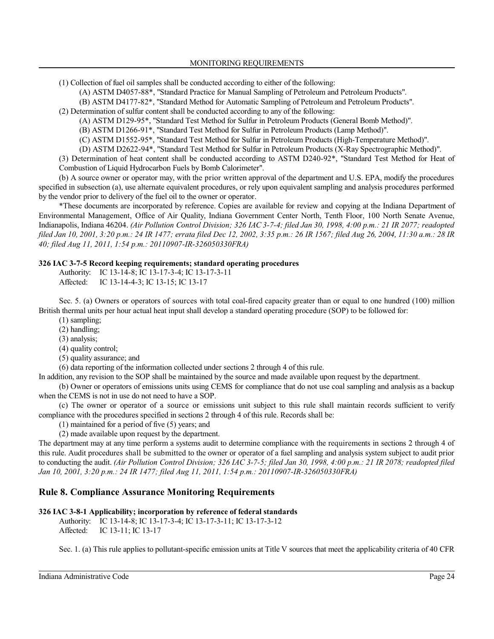(1) Collection of fuel oil samples shall be conducted according to either of the following:

(A) ASTM D4057-88\*, "Standard Practice for Manual Sampling of Petroleum and Petroleum Products".

(B) ASTM D4177-82\*, "Standard Method for Automatic Sampling of Petroleum and Petroleum Products".

(2) Determination of sulfur content shall be conducted according to any of the following:

(A) ASTM D129-95\*, "Standard Test Method for Sulfur in Petroleum Products (General Bomb Method)".

(B) ASTM D1266-91\*, "Standard Test Method for Sulfur in Petroleum Products (Lamp Method)".

(C) ASTM D1552-95\*, "Standard Test Method for Sulfur in Petroleum Products (High-Temperature Method)".

(D) ASTM D2622-94\*, "Standard Test Method for Sulfur in Petroleum Products (X-Ray Spectrographic Method)".

(3) Determination of heat content shall be conducted according to ASTM D240-92\*, "Standard Test Method for Heat of Combustion of Liquid Hydrocarbon Fuels by Bomb Calorimeter".

(b) A source owner or operator may, with the prior written approval of the department and U.S. EPA, modify the procedures specified in subsection (a), use alternate equivalent procedures, or rely upon equivalent sampling and analysis procedures performed by the vendor prior to delivery of the fuel oil to the owner or operator.

\*These documents are incorporated by reference. Copies are available for review and copying at the Indiana Department of Environmental Management, Office of Air Quality, Indiana Government Center North, Tenth Floor, 100 North Senate Avenue, Indianapolis, Indiana 46204. *(Air Pollution Control Division; 326 IAC 3-7-4; filed Jan 30, 1998, 4:00 p.m.: 21 IR 2077; readopted filed Jan 10, 2001, 3:20 p.m.: 24 IR 1477; errata filed Dec 12, 2002, 3:35 p.m.: 26 IR 1567; filed Aug 26, 2004, 11:30 a.m.: 28 IR 40; filed Aug 11, 2011, 1:54 p.m.: 20110907-IR-326050330FRA)*

### **326 IAC 3-7-5 Record keeping requirements; standard operating procedures**

Authority: IC 13-14-8; IC 13-17-3-4; IC 13-17-3-11 Affected: IC 13-14-4-3; IC 13-15; IC 13-17

Sec. 5. (a) Owners or operators of sources with total coal-fired capacity greater than or equal to one hundred (100) million British thermal units per hour actual heat input shall develop a standard operating procedure (SOP) to be followed for:

(1) sampling;

(2) handling;

(3) analysis;

(4) quality control;

(5) quality assurance; and

(6) data reporting of the information collected under sections 2 through 4 of this rule.

In addition, any revision to the SOP shall be maintained by the source and made available upon request by the department.

(b) Owner or operators of emissions units using CEMS for compliance that do not use coal sampling and analysis as a backup when the CEMS is not in use do not need to have a SOP.

(c) The owner or operator of a source or emissions unit subject to this rule shall maintain records sufficient to verify compliance with the procedures specified in sections 2 through 4 of this rule. Records shall be:

(1) maintained for a period of five (5) years; and

(2) made available upon request by the department.

The department may at any time perform a systems audit to determine compliance with the requirements in sections 2 through 4 of this rule. Audit procedures shall be submitted to the owner or operator of a fuel sampling and analysis system subject to audit prior to conducting the audit. *(Air Pollution Control Division; 326 IAC 3-7-5; filed Jan 30, 1998, 4:00 p.m.: 21 IR 2078; readopted filed Jan 10, 2001, 3:20 p.m.: 24 IR 1477; filed Aug 11, 2011, 1:54 p.m.: 20110907-IR-326050330FRA)*

# **Rule 8. Compliance Assurance Monitoring Requirements**

# **326 IAC 3-8-1 Applicability; incorporation by reference of federal standards**

Authority: IC 13-14-8; IC 13-17-3-4; IC 13-17-3-11; IC 13-17-3-12 Affected: IC 13-11; IC 13-17

Sec. 1. (a) This rule applies to pollutant-specific emission units at Title V sources that meet the applicability criteria of 40 CFR